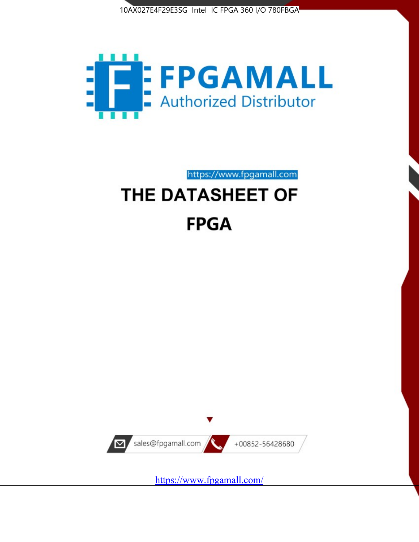



https://www.fpgamall.com

# THE DATASHEET OF **FPGA**



<https://www.fpgamall.com/>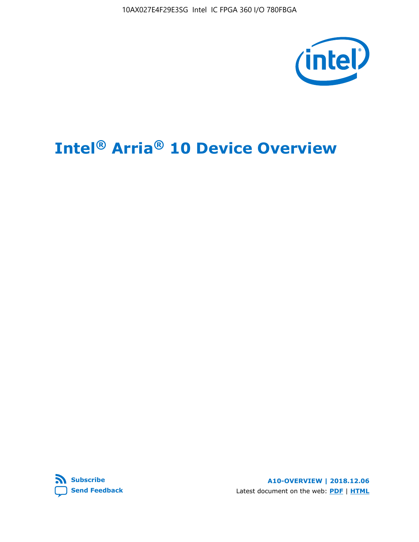10AX027E4F29E3SG Intel IC FPGA 360 I/O 780FBGA



# **Intel® Arria® 10 Device Overview**



**A10-OVERVIEW | 2018.12.06** Latest document on the web: **[PDF](https://www.intel.com/content/dam/www/programmable/us/en/pdfs/literature/hb/arria-10/a10_overview.pdf)** | **[HTML](https://www.intel.com/content/www/us/en/programmable/documentation/sam1403480274650.html)**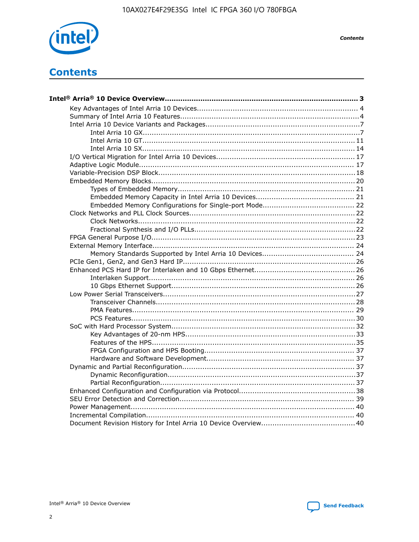

**Contents** 

## **Contents**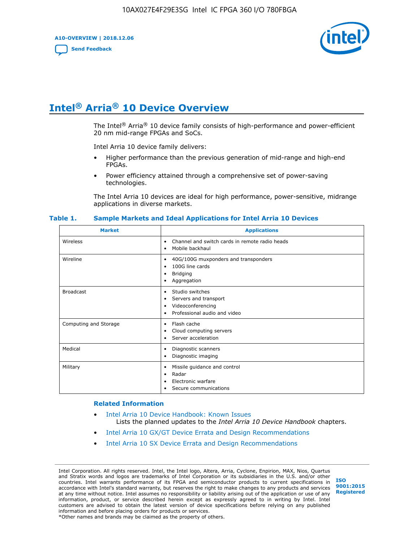**A10-OVERVIEW | 2018.12.06**

**[Send Feedback](mailto:FPGAtechdocfeedback@intel.com?subject=Feedback%20on%20Intel%20Arria%2010%20Device%20Overview%20(A10-OVERVIEW%202018.12.06)&body=We%20appreciate%20your%20feedback.%20In%20your%20comments,%20also%20specify%20the%20page%20number%20or%20paragraph.%20Thank%20you.)**



## **Intel® Arria® 10 Device Overview**

The Intel<sup>®</sup> Arria<sup>®</sup> 10 device family consists of high-performance and power-efficient 20 nm mid-range FPGAs and SoCs.

Intel Arria 10 device family delivers:

- Higher performance than the previous generation of mid-range and high-end FPGAs.
- Power efficiency attained through a comprehensive set of power-saving technologies.

The Intel Arria 10 devices are ideal for high performance, power-sensitive, midrange applications in diverse markets.

| <b>Market</b>         | <b>Applications</b>                                                                                               |
|-----------------------|-------------------------------------------------------------------------------------------------------------------|
| Wireless              | Channel and switch cards in remote radio heads<br>٠<br>Mobile backhaul<br>٠                                       |
| Wireline              | 40G/100G muxponders and transponders<br>٠<br>100G line cards<br>٠<br><b>Bridging</b><br>٠<br>Aggregation<br>٠     |
| <b>Broadcast</b>      | Studio switches<br>٠<br>Servers and transport<br>٠<br>Videoconferencing<br>٠<br>Professional audio and video<br>٠ |
| Computing and Storage | Flash cache<br>٠<br>Cloud computing servers<br>٠<br>Server acceleration<br>٠                                      |
| Medical               | Diagnostic scanners<br>٠<br>Diagnostic imaging<br>٠                                                               |
| Military              | Missile guidance and control<br>٠<br>Radar<br>٠<br>Electronic warfare<br>٠<br>Secure communications<br>٠          |

#### **Table 1. Sample Markets and Ideal Applications for Intel Arria 10 Devices**

#### **Related Information**

- [Intel Arria 10 Device Handbook: Known Issues](http://www.altera.com/support/kdb/solutions/rd07302013_646.html) Lists the planned updates to the *Intel Arria 10 Device Handbook* chapters.
- [Intel Arria 10 GX/GT Device Errata and Design Recommendations](https://www.intel.com/content/www/us/en/programmable/documentation/agz1493851706374.html#yqz1494433888646)
- [Intel Arria 10 SX Device Errata and Design Recommendations](https://www.intel.com/content/www/us/en/programmable/documentation/cru1462832385668.html#cru1462832558642)

Intel Corporation. All rights reserved. Intel, the Intel logo, Altera, Arria, Cyclone, Enpirion, MAX, Nios, Quartus and Stratix words and logos are trademarks of Intel Corporation or its subsidiaries in the U.S. and/or other countries. Intel warrants performance of its FPGA and semiconductor products to current specifications in accordance with Intel's standard warranty, but reserves the right to make changes to any products and services at any time without notice. Intel assumes no responsibility or liability arising out of the application or use of any information, product, or service described herein except as expressly agreed to in writing by Intel. Intel customers are advised to obtain the latest version of device specifications before relying on any published information and before placing orders for products or services. \*Other names and brands may be claimed as the property of others.

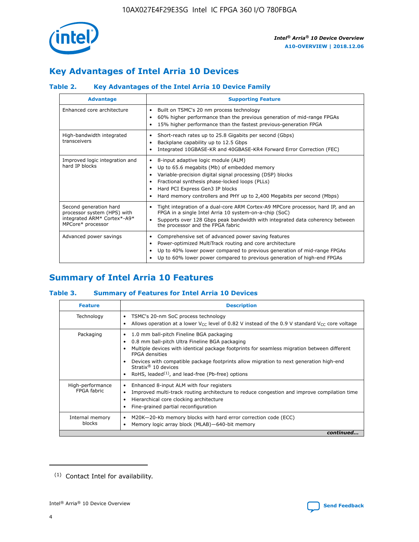

## **Key Advantages of Intel Arria 10 Devices**

#### **Table 2. Key Advantages of the Intel Arria 10 Device Family**

| <b>Advantage</b>                                                                                          | <b>Supporting Feature</b>                                                                                                                                                                                                                                                                                                |
|-----------------------------------------------------------------------------------------------------------|--------------------------------------------------------------------------------------------------------------------------------------------------------------------------------------------------------------------------------------------------------------------------------------------------------------------------|
| Enhanced core architecture                                                                                | Built on TSMC's 20 nm process technology<br>٠<br>60% higher performance than the previous generation of mid-range FPGAs<br>٠<br>15% higher performance than the fastest previous-generation FPGA<br>٠                                                                                                                    |
| High-bandwidth integrated<br>transceivers                                                                 | Short-reach rates up to 25.8 Gigabits per second (Gbps)<br>٠<br>Backplane capability up to 12.5 Gbps<br>٠<br>Integrated 10GBASE-KR and 40GBASE-KR4 Forward Error Correction (FEC)<br>٠                                                                                                                                   |
| Improved logic integration and<br>hard IP blocks                                                          | 8-input adaptive logic module (ALM)<br>٠<br>Up to 65.6 megabits (Mb) of embedded memory<br>٠<br>Variable-precision digital signal processing (DSP) blocks<br>Fractional synthesis phase-locked loops (PLLs)<br>Hard PCI Express Gen3 IP blocks<br>Hard memory controllers and PHY up to 2,400 Megabits per second (Mbps) |
| Second generation hard<br>processor system (HPS) with<br>integrated ARM* Cortex*-A9*<br>MPCore* processor | Tight integration of a dual-core ARM Cortex-A9 MPCore processor, hard IP, and an<br>٠<br>FPGA in a single Intel Arria 10 system-on-a-chip (SoC)<br>Supports over 128 Gbps peak bandwidth with integrated data coherency between<br>$\bullet$<br>the processor and the FPGA fabric                                        |
| Advanced power savings                                                                                    | Comprehensive set of advanced power saving features<br>٠<br>Power-optimized MultiTrack routing and core architecture<br>٠<br>Up to 40% lower power compared to previous generation of mid-range FPGAs<br>Up to 60% lower power compared to previous generation of high-end FPGAs                                         |

## **Summary of Intel Arria 10 Features**

#### **Table 3. Summary of Features for Intel Arria 10 Devices**

| <b>Feature</b>                  | <b>Description</b>                                                                                                                                                                                                                                                                                                                                                                                       |
|---------------------------------|----------------------------------------------------------------------------------------------------------------------------------------------------------------------------------------------------------------------------------------------------------------------------------------------------------------------------------------------------------------------------------------------------------|
| Technology                      | TSMC's 20-nm SoC process technology<br>٠<br>Allows operation at a lower $V_{\text{CC}}$ level of 0.82 V instead of the 0.9 V standard $V_{\text{CC}}$ core voltage                                                                                                                                                                                                                                       |
| Packaging                       | 1.0 mm ball-pitch Fineline BGA packaging<br>0.8 mm ball-pitch Ultra Fineline BGA packaging<br>Multiple devices with identical package footprints for seamless migration between different<br><b>FPGA</b> densities<br>Devices with compatible package footprints allow migration to next generation high-end<br>Stratix $\mathcal{R}$ 10 devices<br>RoHS, leaded $(1)$ , and lead-free (Pb-free) options |
| High-performance<br>FPGA fabric | Enhanced 8-input ALM with four registers<br>٠<br>Improved multi-track routing architecture to reduce congestion and improve compilation time<br>Hierarchical core clocking architecture<br>Fine-grained partial reconfiguration                                                                                                                                                                          |
| Internal memory<br>blocks       | M20K-20-Kb memory blocks with hard error correction code (ECC)<br>Memory logic array block (MLAB)-640-bit memory                                                                                                                                                                                                                                                                                         |
|                                 | continued                                                                                                                                                                                                                                                                                                                                                                                                |



<sup>(1)</sup> Contact Intel for availability.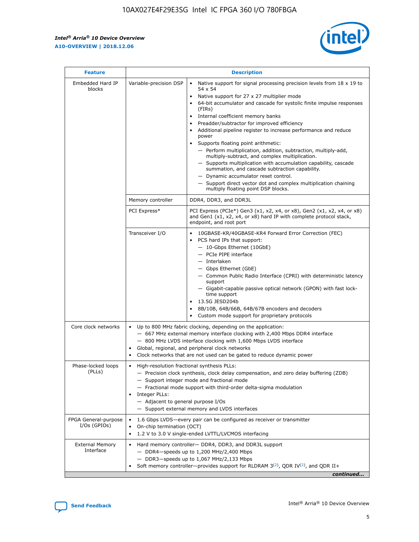$\mathsf{r}$ 



| <b>Feature</b>                         | <b>Description</b>                                                                                |                                                                                                                                                                                                                                                                                                                                                                                                                                                                                                                                                                                                                                                                                                                                                                                                                                        |  |  |  |  |  |
|----------------------------------------|---------------------------------------------------------------------------------------------------|----------------------------------------------------------------------------------------------------------------------------------------------------------------------------------------------------------------------------------------------------------------------------------------------------------------------------------------------------------------------------------------------------------------------------------------------------------------------------------------------------------------------------------------------------------------------------------------------------------------------------------------------------------------------------------------------------------------------------------------------------------------------------------------------------------------------------------------|--|--|--|--|--|
| Embedded Hard IP<br>blocks             | Variable-precision DSP                                                                            | Native support for signal processing precision levels from $18 \times 19$ to<br>54 x 54<br>Native support for 27 x 27 multiplier mode<br>64-bit accumulator and cascade for systolic finite impulse responses<br>(FIRs)<br>Internal coefficient memory banks<br>$\bullet$<br>Preadder/subtractor for improved efficiency<br>Additional pipeline register to increase performance and reduce<br>power<br>Supports floating point arithmetic:<br>- Perform multiplication, addition, subtraction, multiply-add,<br>multiply-subtract, and complex multiplication.<br>- Supports multiplication with accumulation capability, cascade<br>summation, and cascade subtraction capability.<br>- Dynamic accumulator reset control.<br>- Support direct vector dot and complex multiplication chaining<br>multiply floating point DSP blocks. |  |  |  |  |  |
|                                        | Memory controller                                                                                 | DDR4, DDR3, and DDR3L                                                                                                                                                                                                                                                                                                                                                                                                                                                                                                                                                                                                                                                                                                                                                                                                                  |  |  |  |  |  |
|                                        | PCI Express*                                                                                      | PCI Express (PCIe*) Gen3 (x1, x2, x4, or x8), Gen2 (x1, x2, x4, or x8)<br>and Gen1 (x1, x2, x4, or x8) hard IP with complete protocol stack,<br>endpoint, and root port                                                                                                                                                                                                                                                                                                                                                                                                                                                                                                                                                                                                                                                                |  |  |  |  |  |
|                                        | Transceiver I/O                                                                                   | 10GBASE-KR/40GBASE-KR4 Forward Error Correction (FEC)<br>PCS hard IPs that support:<br>- 10-Gbps Ethernet (10GbE)<br>- PCIe PIPE interface<br>- Interlaken<br>- Gbps Ethernet (GbE)<br>- Common Public Radio Interface (CPRI) with deterministic latency<br>support<br>- Gigabit-capable passive optical network (GPON) with fast lock-<br>time support<br>13.5G JESD204b<br>8B/10B, 64B/66B, 64B/67B encoders and decoders<br>Custom mode support for proprietary protocols                                                                                                                                                                                                                                                                                                                                                           |  |  |  |  |  |
| Core clock networks                    | $\bullet$<br>$\bullet$                                                                            | Up to 800 MHz fabric clocking, depending on the application:<br>- 667 MHz external memory interface clocking with 2,400 Mbps DDR4 interface<br>- 800 MHz LVDS interface clocking with 1,600 Mbps LVDS interface<br>Global, regional, and peripheral clock networks<br>Clock networks that are not used can be gated to reduce dynamic power                                                                                                                                                                                                                                                                                                                                                                                                                                                                                            |  |  |  |  |  |
| Phase-locked loops<br>(PLLs)           | High-resolution fractional synthesis PLLs:<br>Integer PLLs:<br>- Adjacent to general purpose I/Os | - Precision clock synthesis, clock delay compensation, and zero delay buffering (ZDB)<br>- Support integer mode and fractional mode<br>- Fractional mode support with third-order delta-sigma modulation<br>- Support external memory and LVDS interfaces                                                                                                                                                                                                                                                                                                                                                                                                                                                                                                                                                                              |  |  |  |  |  |
| FPGA General-purpose<br>$I/Os$ (GPIOs) | On-chip termination (OCT)                                                                         | 1.6 Gbps LVDS—every pair can be configured as receiver or transmitter<br>1.2 V to 3.0 V single-ended LVTTL/LVCMOS interfacing                                                                                                                                                                                                                                                                                                                                                                                                                                                                                                                                                                                                                                                                                                          |  |  |  |  |  |
| <b>External Memory</b><br>Interface    |                                                                                                   | Hard memory controller- DDR4, DDR3, and DDR3L support<br>$-$ DDR4 $-$ speeds up to 1,200 MHz/2,400 Mbps<br>$-$ DDR3-speeds up to 1,067 MHz/2,133 Mbps<br>Soft memory controller—provides support for RLDRAM $3^{(2)}$ , QDR IV $(2^2)$ , and QDR II+<br>continued                                                                                                                                                                                                                                                                                                                                                                                                                                                                                                                                                                      |  |  |  |  |  |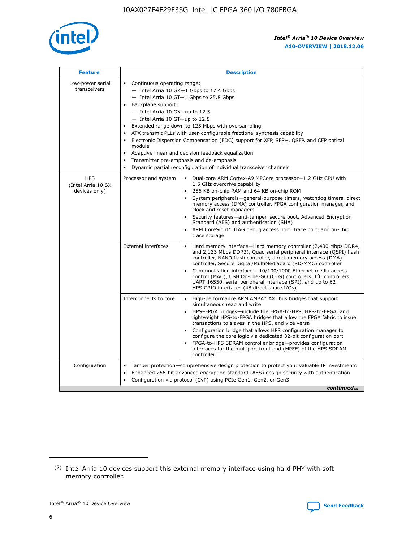

| <b>Feature</b>                                    | <b>Description</b>                                                                                                                                                                                                                                                                                                                                                                                                                                                                                                                                                                                                                                                        |
|---------------------------------------------------|---------------------------------------------------------------------------------------------------------------------------------------------------------------------------------------------------------------------------------------------------------------------------------------------------------------------------------------------------------------------------------------------------------------------------------------------------------------------------------------------------------------------------------------------------------------------------------------------------------------------------------------------------------------------------|
| Low-power serial<br>transceivers                  | • Continuous operating range:<br>- Intel Arria 10 GX-1 Gbps to 17.4 Gbps<br>$-$ Intel Arria 10 GT $-1$ Gbps to 25.8 Gbps<br>Backplane support:<br>$\bullet$<br>$-$ Intel Arria 10 GX-up to 12.5<br>$-$ Intel Arria 10 GT-up to 12.5<br>Extended range down to 125 Mbps with oversampling<br>ATX transmit PLLs with user-configurable fractional synthesis capability<br>Electronic Dispersion Compensation (EDC) support for XFP, SFP+, OSFP, and CFP optical<br>module<br>Adaptive linear and decision feedback equalization<br>$\bullet$<br>Transmitter pre-emphasis and de-emphasis<br>$\bullet$<br>Dynamic partial reconfiguration of individual transceiver channels |
| <b>HPS</b><br>(Intel Arria 10 SX<br>devices only) | Dual-core ARM Cortex-A9 MPCore processor-1.2 GHz CPU with<br>Processor and system<br>$\bullet$<br>1.5 GHz overdrive capability<br>256 KB on-chip RAM and 64 KB on-chip ROM<br>System peripherals-general-purpose timers, watchdog timers, direct<br>memory access (DMA) controller, FPGA configuration manager, and<br>clock and reset managers<br>• Security features—anti-tamper, secure boot, Advanced Encryption<br>Standard (AES) and authentication (SHA)<br>ARM CoreSight* JTAG debug access port, trace port, and on-chip<br>$\bullet$<br>trace storage                                                                                                           |
|                                                   | <b>External interfaces</b><br>Hard memory interface—Hard memory controller (2,400 Mbps DDR4,<br>and 2,133 Mbps DDR3), Quad serial peripheral interface (QSPI) flash<br>controller, NAND flash controller, direct memory access (DMA)<br>controller, Secure Digital/MultiMediaCard (SD/MMC) controller<br>Communication interface-10/100/1000 Ethernet media access<br>$\bullet$<br>control (MAC), USB On-The-GO (OTG) controllers, I <sup>2</sup> C controllers,<br>UART 16550, serial peripheral interface (SPI), and up to 62<br>HPS GPIO interfaces (48 direct-share I/Os)                                                                                             |
|                                                   | Interconnects to core<br>• High-performance ARM AMBA* AXI bus bridges that support<br>simultaneous read and write<br>HPS-FPGA bridges-include the FPGA-to-HPS, HPS-to-FPGA, and<br>$\bullet$<br>lightweight HPS-to-FPGA bridges that allow the FPGA fabric to issue<br>transactions to slaves in the HPS, and vice versa<br>Configuration bridge that allows HPS configuration manager to<br>configure the core logic via dedicated 32-bit configuration port<br>FPGA-to-HPS SDRAM controller bridge-provides configuration<br>interfaces for the multiport front end (MPFE) of the HPS SDRAM<br>controller                                                               |
| Configuration                                     | Tamper protection—comprehensive design protection to protect your valuable IP investments<br>Enhanced 256-bit advanced encryption standard (AES) design security with authentication<br>$\bullet$<br>Configuration via protocol (CvP) using PCIe Gen1, Gen2, or Gen3<br>continued                                                                                                                                                                                                                                                                                                                                                                                         |

<sup>(2)</sup> Intel Arria 10 devices support this external memory interface using hard PHY with soft memory controller.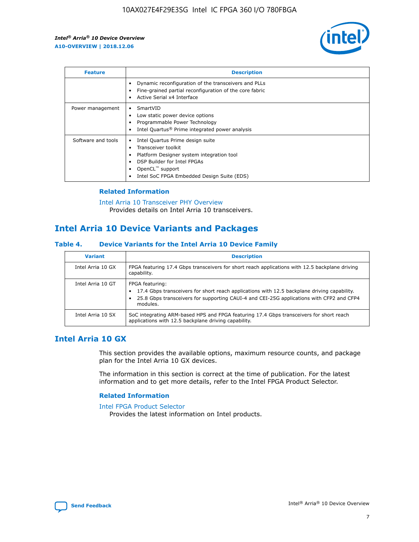

| <b>Feature</b>     | <b>Description</b>                                                                                                                                                                                               |
|--------------------|------------------------------------------------------------------------------------------------------------------------------------------------------------------------------------------------------------------|
|                    | Dynamic reconfiguration of the transceivers and PLLs<br>Fine-grained partial reconfiguration of the core fabric<br>Active Serial x4 Interface<br>$\bullet$                                                       |
| Power management   | SmartVID<br>Low static power device options<br>Programmable Power Technology<br>Intel Quartus <sup>®</sup> Prime integrated power analysis                                                                       |
| Software and tools | Intel Quartus Prime design suite<br>Transceiver toolkit<br>Platform Designer system integration tool<br>DSP Builder for Intel FPGAs<br>OpenCL <sup>™</sup> support<br>Intel SoC FPGA Embedded Design Suite (EDS) |

#### **Related Information**

[Intel Arria 10 Transceiver PHY Overview](https://www.intel.com/content/www/us/en/programmable/documentation/nik1398707230472.html#nik1398706768037) Provides details on Intel Arria 10 transceivers.

## **Intel Arria 10 Device Variants and Packages**

#### **Table 4. Device Variants for the Intel Arria 10 Device Family**

| <b>Variant</b>    | <b>Description</b>                                                                                                                                                                                                     |
|-------------------|------------------------------------------------------------------------------------------------------------------------------------------------------------------------------------------------------------------------|
| Intel Arria 10 GX | FPGA featuring 17.4 Gbps transceivers for short reach applications with 12.5 backplane driving<br>capability.                                                                                                          |
| Intel Arria 10 GT | FPGA featuring:<br>17.4 Gbps transceivers for short reach applications with 12.5 backplane driving capability.<br>25.8 Gbps transceivers for supporting CAUI-4 and CEI-25G applications with CFP2 and CFP4<br>modules. |
| Intel Arria 10 SX | SoC integrating ARM-based HPS and FPGA featuring 17.4 Gbps transceivers for short reach<br>applications with 12.5 backplane driving capability.                                                                        |

## **Intel Arria 10 GX**

This section provides the available options, maximum resource counts, and package plan for the Intel Arria 10 GX devices.

The information in this section is correct at the time of publication. For the latest information and to get more details, refer to the Intel FPGA Product Selector.

#### **Related Information**

#### [Intel FPGA Product Selector](http://www.altera.com/products/selector/psg-selector.html) Provides the latest information on Intel products.

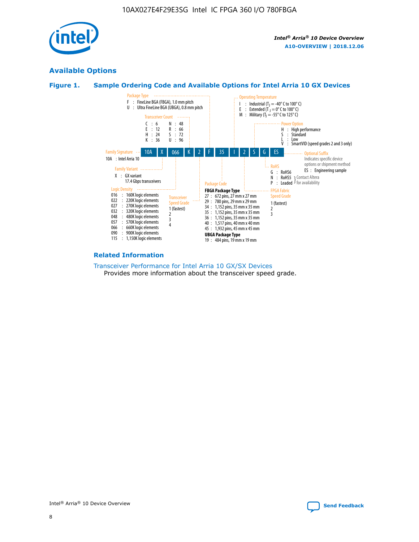

## **Available Options**





#### **Related Information**

[Transceiver Performance for Intel Arria 10 GX/SX Devices](https://www.intel.com/content/www/us/en/programmable/documentation/mcn1413182292568.html#mcn1413213965502) Provides more information about the transceiver speed grade.

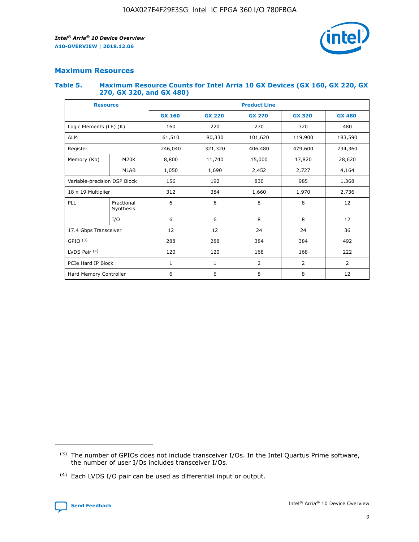

#### **Maximum Resources**

#### **Table 5. Maximum Resource Counts for Intel Arria 10 GX Devices (GX 160, GX 220, GX 270, GX 320, and GX 480)**

| <b>Resource</b>         |                              | <b>Product Line</b> |                   |                |                |                |  |  |  |
|-------------------------|------------------------------|---------------------|-------------------|----------------|----------------|----------------|--|--|--|
|                         |                              | <b>GX 160</b>       | <b>GX 220</b>     | <b>GX 270</b>  | <b>GX 320</b>  | <b>GX 480</b>  |  |  |  |
| Logic Elements (LE) (K) |                              | 160                 | 220               | 270            | 320            | 480            |  |  |  |
| <b>ALM</b>              |                              | 61,510              | 80,330            | 101,620        | 119,900        | 183,590        |  |  |  |
| Register                |                              | 246,040             | 321,320           | 406,480        |                | 734,360        |  |  |  |
| Memory (Kb)             | M <sub>20</sub> K            | 8,800               | 11,740            | 15,000         | 17,820         | 28,620         |  |  |  |
| <b>MLAB</b>             |                              | 1,050               | 1,690             | 2,452          | 2,727          | 4,164          |  |  |  |
|                         | Variable-precision DSP Block |                     | 156<br>192<br>830 |                | 985            | 1,368          |  |  |  |
| 18 x 19 Multiplier      |                              | 312                 | 384               | 1,970<br>1,660 |                | 2,736          |  |  |  |
| PLL                     | Fractional<br>Synthesis      | 6                   | 6                 | 8              | 8              | 12             |  |  |  |
|                         | I/O                          | 6                   | 6                 | 8              | 8              | 12             |  |  |  |
| 17.4 Gbps Transceiver   |                              | 12                  | 12<br>24<br>24    |                | 36             |                |  |  |  |
| GPIO <sup>(3)</sup>     |                              | 288                 | 288<br>384<br>384 |                |                | 492            |  |  |  |
| LVDS Pair $(4)$         |                              | 120                 | 120               | 168            | 168            | 222            |  |  |  |
| PCIe Hard IP Block      |                              | 1                   | 1                 | 2              | $\overline{2}$ | $\overline{2}$ |  |  |  |
| Hard Memory Controller  |                              | 6                   | 6                 | 8              | 8              | 12             |  |  |  |

<sup>(4)</sup> Each LVDS I/O pair can be used as differential input or output.



<sup>(3)</sup> The number of GPIOs does not include transceiver I/Os. In the Intel Quartus Prime software, the number of user I/Os includes transceiver I/Os.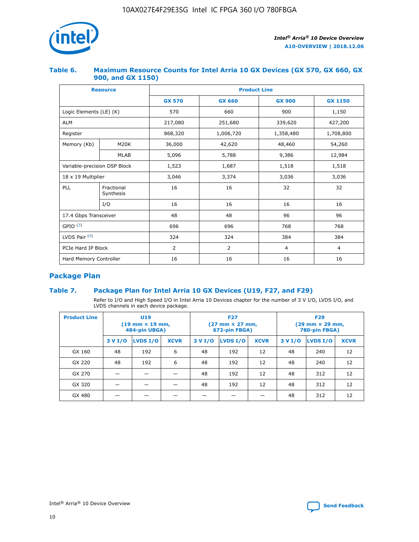

#### **Table 6. Maximum Resource Counts for Intel Arria 10 GX Devices (GX 570, GX 660, GX 900, and GX 1150)**

|                              | <b>Resource</b>         | <b>Product Line</b> |                |                |                |  |  |  |
|------------------------------|-------------------------|---------------------|----------------|----------------|----------------|--|--|--|
|                              |                         | <b>GX 570</b>       | <b>GX 660</b>  | <b>GX 900</b>  | <b>GX 1150</b> |  |  |  |
| Logic Elements (LE) (K)      |                         | 570                 | 660            | 900            | 1,150          |  |  |  |
| <b>ALM</b>                   |                         | 217,080             | 251,680        | 339,620        | 427,200        |  |  |  |
| Register                     |                         | 868,320             | 1,006,720      | 1,358,480      | 1,708,800      |  |  |  |
| Memory (Kb)                  | <b>M20K</b>             | 36,000              | 42,620         | 48,460         | 54,260         |  |  |  |
| <b>MLAB</b>                  |                         | 5,096               | 5,788          | 9,386          | 12,984         |  |  |  |
| Variable-precision DSP Block |                         | 1,523               | 1,687          | 1,518          | 1,518          |  |  |  |
| $18 \times 19$ Multiplier    |                         | 3,046               | 3,374          | 3,036          | 3,036          |  |  |  |
| PLL                          | Fractional<br>Synthesis | 16                  | 16             | 32             | 32             |  |  |  |
|                              | I/O                     | 16                  | 16             | 16             | 16             |  |  |  |
| 17.4 Gbps Transceiver        |                         | 48                  | 48             | 96             | 96             |  |  |  |
| GPIO <sup>(3)</sup>          |                         | 696                 | 696            | 768            | 768            |  |  |  |
| LVDS Pair $(4)$              |                         | 324                 | 324            | 384            | 384            |  |  |  |
| PCIe Hard IP Block           |                         | 2                   | $\overline{2}$ | $\overline{4}$ | $\overline{4}$ |  |  |  |
| Hard Memory Controller       |                         | 16                  | 16             | 16             | 16             |  |  |  |

## **Package Plan**

#### **Table 7. Package Plan for Intel Arria 10 GX Devices (U19, F27, and F29)**

Refer to I/O and High Speed I/O in Intel Arria 10 Devices chapter for the number of 3 V I/O, LVDS I/O, and LVDS channels in each device package.

| <b>Product Line</b> | U <sub>19</sub><br>$(19 \text{ mm} \times 19 \text{ mm})$<br>484-pin UBGA) |          |             |         | <b>F27</b><br>(27 mm × 27 mm,<br>672-pin FBGA) |             | <b>F29</b><br>(29 mm × 29 mm,<br>780-pin FBGA) |          |             |  |
|---------------------|----------------------------------------------------------------------------|----------|-------------|---------|------------------------------------------------|-------------|------------------------------------------------|----------|-------------|--|
|                     | 3 V I/O                                                                    | LVDS I/O | <b>XCVR</b> | 3 V I/O | <b>LVDS I/O</b>                                | <b>XCVR</b> | 3 V I/O                                        | LVDS I/O | <b>XCVR</b> |  |
| GX 160              | 48                                                                         | 192      | 6           | 48      | 192                                            | 12          | 48                                             | 240      | 12          |  |
| GX 220              | 48                                                                         | 192      | 6           | 48      | 192                                            | 12          | 48                                             | 240      | 12          |  |
| GX 270              |                                                                            |          |             | 48      | 192                                            | 12          | 48                                             | 312      | 12          |  |
| GX 320              |                                                                            |          |             | 48      | 192                                            | 12          | 48                                             | 312      | 12          |  |
| GX 480              |                                                                            |          |             |         |                                                |             | 48                                             | 312      | 12          |  |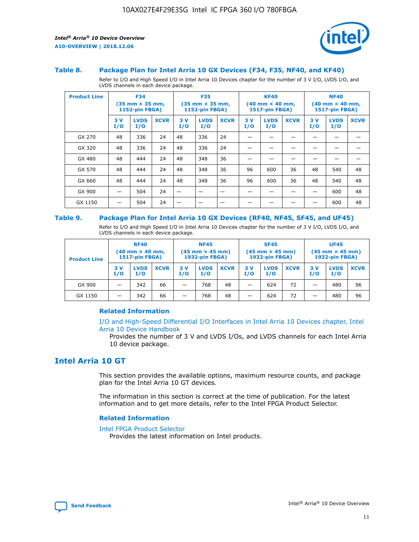



#### **Table 8. Package Plan for Intel Arria 10 GX Devices (F34, F35, NF40, and KF40)**

Refer to I/O and High Speed I/O in Intel Arria 10 Devices chapter for the number of 3 V I/O, LVDS I/O, and LVDS channels in each device package.

| <b>Product Line</b> | <b>F34</b><br>$(35 \text{ mm} \times 35 \text{ mm})$<br>1152-pin FBGA) |                    | <b>F35</b><br>$(35 \text{ mm} \times 35 \text{ mm})$<br><b>1152-pin FBGA)</b> |           | <b>KF40</b><br>$(40 \text{ mm} \times 40 \text{ mm})$<br>1517-pin FBGA) |             |            | <b>NF40</b><br>$(40 \text{ mm} \times 40 \text{ mm})$<br><b>1517-pin FBGA)</b> |             |            |                    |             |
|---------------------|------------------------------------------------------------------------|--------------------|-------------------------------------------------------------------------------|-----------|-------------------------------------------------------------------------|-------------|------------|--------------------------------------------------------------------------------|-------------|------------|--------------------|-------------|
|                     | 3V<br>I/O                                                              | <b>LVDS</b><br>I/O | <b>XCVR</b>                                                                   | 3V<br>I/O | <b>LVDS</b><br>I/O                                                      | <b>XCVR</b> | 3 V<br>I/O | <b>LVDS</b><br>I/O                                                             | <b>XCVR</b> | 3 V<br>I/O | <b>LVDS</b><br>I/O | <b>XCVR</b> |
| GX 270              | 48                                                                     | 336                | 24                                                                            | 48        | 336                                                                     | 24          |            |                                                                                |             |            |                    |             |
| GX 320              | 48                                                                     | 336                | 24                                                                            | 48        | 336                                                                     | 24          |            |                                                                                |             |            |                    |             |
| GX 480              | 48                                                                     | 444                | 24                                                                            | 48        | 348                                                                     | 36          |            |                                                                                |             |            |                    |             |
| GX 570              | 48                                                                     | 444                | 24                                                                            | 48        | 348                                                                     | 36          | 96         | 600                                                                            | 36          | 48         | 540                | 48          |
| GX 660              | 48                                                                     | 444                | 24                                                                            | 48        | 348                                                                     | 36          | 96         | 600                                                                            | 36          | 48         | 540                | 48          |
| GX 900              |                                                                        | 504                | 24                                                                            | -         |                                                                         |             |            |                                                                                |             |            | 600                | 48          |
| GX 1150             |                                                                        | 504                | 24                                                                            |           |                                                                         |             |            |                                                                                |             |            | 600                | 48          |

#### **Table 9. Package Plan for Intel Arria 10 GX Devices (RF40, NF45, SF45, and UF45)**

Refer to I/O and High Speed I/O in Intel Arria 10 Devices chapter for the number of 3 V I/O, LVDS I/O, and LVDS channels in each device package.

| <b>Product Line</b> | <b>RF40</b><br>$(40$ mm $\times$ 40 mm,<br>1517-pin FBGA) |                    | <b>NF45</b><br>$(45 \text{ mm} \times 45 \text{ mm})$<br><b>1932-pin FBGA)</b> |            |                    | <b>SF45</b><br>$(45 \text{ mm} \times 45 \text{ mm})$<br><b>1932-pin FBGA)</b> |            |                    | <b>UF45</b><br>$(45 \text{ mm} \times 45 \text{ mm})$<br><b>1932-pin FBGA)</b> |           |                    |             |
|---------------------|-----------------------------------------------------------|--------------------|--------------------------------------------------------------------------------|------------|--------------------|--------------------------------------------------------------------------------|------------|--------------------|--------------------------------------------------------------------------------|-----------|--------------------|-------------|
|                     | 3V<br>I/O                                                 | <b>LVDS</b><br>I/O | <b>XCVR</b>                                                                    | 3 V<br>I/O | <b>LVDS</b><br>I/O | <b>XCVR</b>                                                                    | 3 V<br>I/O | <b>LVDS</b><br>I/O | <b>XCVR</b>                                                                    | 3V<br>I/O | <b>LVDS</b><br>I/O | <b>XCVR</b> |
| GX 900              |                                                           | 342                | 66                                                                             | _          | 768                | 48                                                                             |            | 624                | 72                                                                             |           | 480                | 96          |
| GX 1150             |                                                           | 342                | 66                                                                             | _          | 768                | 48                                                                             |            | 624                | 72                                                                             |           | 480                | 96          |

#### **Related Information**

[I/O and High-Speed Differential I/O Interfaces in Intel Arria 10 Devices chapter, Intel](https://www.intel.com/content/www/us/en/programmable/documentation/sam1403482614086.html#sam1403482030321) [Arria 10 Device Handbook](https://www.intel.com/content/www/us/en/programmable/documentation/sam1403482614086.html#sam1403482030321)

Provides the number of 3 V and LVDS I/Os, and LVDS channels for each Intel Arria 10 device package.

## **Intel Arria 10 GT**

This section provides the available options, maximum resource counts, and package plan for the Intel Arria 10 GT devices.

The information in this section is correct at the time of publication. For the latest information and to get more details, refer to the Intel FPGA Product Selector.

#### **Related Information**

#### [Intel FPGA Product Selector](http://www.altera.com/products/selector/psg-selector.html)

Provides the latest information on Intel products.

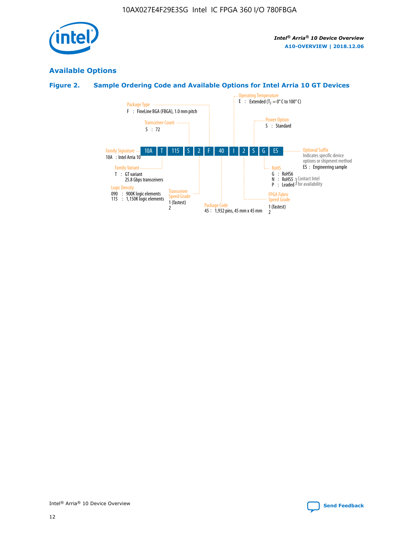

## **Available Options**

## **Figure 2. Sample Ordering Code and Available Options for Intel Arria 10 GT Devices**

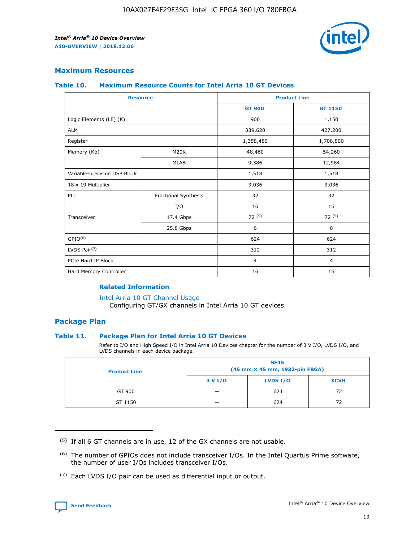

#### **Maximum Resources**

#### **Table 10. Maximum Resource Counts for Intel Arria 10 GT Devices**

| <b>Resource</b>              |                      |                | <b>Product Line</b> |  |
|------------------------------|----------------------|----------------|---------------------|--|
|                              |                      | <b>GT 900</b>  | GT 1150             |  |
| Logic Elements (LE) (K)      |                      | 900            | 1,150               |  |
| <b>ALM</b>                   |                      | 339,620        | 427,200             |  |
| Register                     |                      | 1,358,480      | 1,708,800           |  |
| Memory (Kb)                  | M20K                 | 48,460         | 54,260              |  |
|                              | <b>MLAB</b>          | 9,386          | 12,984              |  |
| Variable-precision DSP Block |                      | 1,518          | 1,518               |  |
| 18 x 19 Multiplier           |                      | 3,036          | 3,036               |  |
| PLL                          | Fractional Synthesis | 32             | 32                  |  |
|                              | I/O                  | 16             | 16                  |  |
| Transceiver                  | 17.4 Gbps            | 72(5)          | 72(5)               |  |
|                              | 25.8 Gbps            | 6              | 6                   |  |
| GPIO <sup>(6)</sup>          |                      | 624            | 624                 |  |
| LVDS Pair $(7)$              |                      | 312            | 312                 |  |
| PCIe Hard IP Block           |                      | $\overline{4}$ | $\overline{4}$      |  |
| Hard Memory Controller       |                      | 16             | 16                  |  |

#### **Related Information**

#### [Intel Arria 10 GT Channel Usage](https://www.intel.com/content/www/us/en/programmable/documentation/nik1398707230472.html#nik1398707008178)

Configuring GT/GX channels in Intel Arria 10 GT devices.

#### **Package Plan**

#### **Table 11. Package Plan for Intel Arria 10 GT Devices**

Refer to I/O and High Speed I/O in Intel Arria 10 Devices chapter for the number of 3 V I/O, LVDS I/O, and LVDS channels in each device package.

| <b>Product Line</b> | <b>SF45</b><br>(45 mm × 45 mm, 1932-pin FBGA) |                 |             |  |  |  |
|---------------------|-----------------------------------------------|-----------------|-------------|--|--|--|
|                     | 3 V I/O                                       | <b>LVDS I/O</b> | <b>XCVR</b> |  |  |  |
| GT 900              |                                               | 624             | 72          |  |  |  |
| GT 1150             |                                               | 624             | 72          |  |  |  |

<sup>(7)</sup> Each LVDS I/O pair can be used as differential input or output.



 $(5)$  If all 6 GT channels are in use, 12 of the GX channels are not usable.

<sup>(6)</sup> The number of GPIOs does not include transceiver I/Os. In the Intel Quartus Prime software, the number of user I/Os includes transceiver I/Os.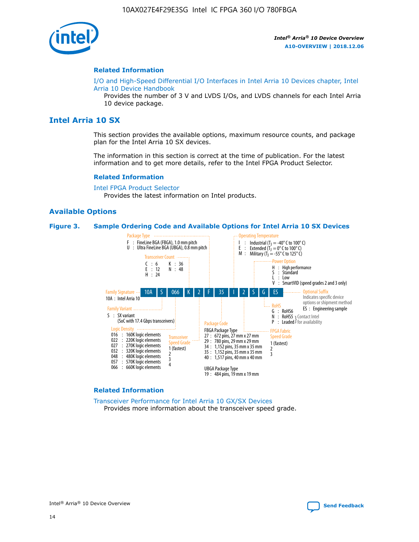

#### **Related Information**

[I/O and High-Speed Differential I/O Interfaces in Intel Arria 10 Devices chapter, Intel](https://www.intel.com/content/www/us/en/programmable/documentation/sam1403482614086.html#sam1403482030321) [Arria 10 Device Handbook](https://www.intel.com/content/www/us/en/programmable/documentation/sam1403482614086.html#sam1403482030321)

Provides the number of 3 V and LVDS I/Os, and LVDS channels for each Intel Arria 10 device package.

## **Intel Arria 10 SX**

This section provides the available options, maximum resource counts, and package plan for the Intel Arria 10 SX devices.

The information in this section is correct at the time of publication. For the latest information and to get more details, refer to the Intel FPGA Product Selector.

#### **Related Information**

[Intel FPGA Product Selector](http://www.altera.com/products/selector/psg-selector.html) Provides the latest information on Intel products.

#### **Available Options**

#### **Figure 3. Sample Ordering Code and Available Options for Intel Arria 10 SX Devices**



#### **Related Information**

[Transceiver Performance for Intel Arria 10 GX/SX Devices](https://www.intel.com/content/www/us/en/programmable/documentation/mcn1413182292568.html#mcn1413213965502) Provides more information about the transceiver speed grade.

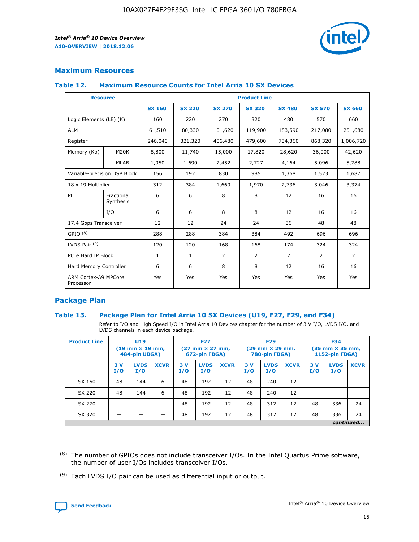

#### **Maximum Resources**

#### **Table 12. Maximum Resource Counts for Intel Arria 10 SX Devices**

| <b>Resource</b>                   |                         | <b>Product Line</b> |               |               |                |               |               |               |  |  |  |
|-----------------------------------|-------------------------|---------------------|---------------|---------------|----------------|---------------|---------------|---------------|--|--|--|
|                                   |                         | <b>SX 160</b>       | <b>SX 220</b> | <b>SX 270</b> | <b>SX 320</b>  | <b>SX 480</b> | <b>SX 570</b> | <b>SX 660</b> |  |  |  |
| Logic Elements (LE) (K)           |                         | 160                 | 220           | 270           | 320            | 480           | 570           | 660           |  |  |  |
| <b>ALM</b>                        |                         | 61,510              | 80,330        | 101,620       | 119,900        | 183,590       | 217,080       | 251,680       |  |  |  |
| Register                          |                         | 246,040             | 321,320       | 406,480       | 479,600        | 734,360       | 868,320       | 1,006,720     |  |  |  |
| Memory (Kb)                       | M20K                    | 8,800               | 11,740        | 15,000        | 17,820         | 28,620        | 36,000        | 42,620        |  |  |  |
|                                   | <b>MLAB</b>             | 1,050               | 1,690         | 2,452         | 2,727          | 4,164         | 5,096         | 5,788         |  |  |  |
| Variable-precision DSP Block      |                         | 156                 | 192           | 830           | 985            | 1,368         | 1,523         | 1,687         |  |  |  |
| 18 x 19 Multiplier                |                         | 312                 | 384           | 1,660         | 1,970          | 2,736         | 3,046         | 3,374         |  |  |  |
| PLL                               | Fractional<br>Synthesis | 6                   | 6             | 8             | 8              | 12            | 16            | 16            |  |  |  |
|                                   | I/O                     | 6                   | 6             | 8             | 8              | 12            | 16            | 16            |  |  |  |
| 17.4 Gbps Transceiver             |                         | 12                  | 12            | 24            | 24             | 36            | 48            | 48            |  |  |  |
| GPIO <sup>(8)</sup>               |                         | 288                 | 288           | 384           | 384            | 492           | 696           | 696           |  |  |  |
| LVDS Pair $(9)$                   |                         | 120                 | 120           | 168           | 168            | 174           | 324           | 324           |  |  |  |
| PCIe Hard IP Block                |                         | $\mathbf{1}$        | $\mathbf{1}$  | 2             | $\overline{2}$ | 2             | 2             | 2             |  |  |  |
| Hard Memory Controller            |                         | 6                   | 6             | 8             | 8              | 12            | 16            | 16            |  |  |  |
| ARM Cortex-A9 MPCore<br>Processor |                         | Yes                 | Yes           | Yes           | Yes            | Yes           | Yes           | Yes           |  |  |  |

#### **Package Plan**

#### **Table 13. Package Plan for Intel Arria 10 SX Devices (U19, F27, F29, and F34)**

Refer to I/O and High Speed I/O in Intel Arria 10 Devices chapter for the number of 3 V I/O, LVDS I/O, and LVDS channels in each device package.

| <b>Product Line</b> | U19<br>$(19 \text{ mm} \times 19 \text{ mm})$<br>484-pin UBGA) |                    | <b>F27</b><br>$(27 \text{ mm} \times 27 \text{ mm})$<br>672-pin FBGA) |           | <b>F29</b><br>$(29 \text{ mm} \times 29 \text{ mm})$<br>780-pin FBGA) |             |            | <b>F34</b><br>$(35 \text{ mm} \times 35 \text{ mm})$<br><b>1152-pin FBGA)</b> |             |           |                    |             |
|---------------------|----------------------------------------------------------------|--------------------|-----------------------------------------------------------------------|-----------|-----------------------------------------------------------------------|-------------|------------|-------------------------------------------------------------------------------|-------------|-----------|--------------------|-------------|
|                     | 3V<br>I/O                                                      | <b>LVDS</b><br>I/O | <b>XCVR</b>                                                           | 3V<br>I/O | <b>LVDS</b><br>I/O                                                    | <b>XCVR</b> | 3 V<br>I/O | <b>LVDS</b><br>I/O                                                            | <b>XCVR</b> | 3V<br>I/O | <b>LVDS</b><br>I/O | <b>XCVR</b> |
| SX 160              | 48                                                             | 144                | 6                                                                     | 48        | 192                                                                   | 12          | 48         | 240                                                                           | 12          | –         |                    |             |
| SX 220              | 48                                                             | 144                | 6                                                                     | 48        | 192                                                                   | 12          | 48         | 240                                                                           | 12          |           |                    |             |
| SX 270              |                                                                |                    |                                                                       | 48        | 192                                                                   | 12          | 48         | 312                                                                           | 12          | 48        | 336                | 24          |
| SX 320              |                                                                |                    |                                                                       | 48        | 192                                                                   | 12          | 48         | 312                                                                           | 12          | 48        | 336                | 24          |
|                     | continued                                                      |                    |                                                                       |           |                                                                       |             |            |                                                                               |             |           |                    |             |

 $(8)$  The number of GPIOs does not include transceiver I/Os. In the Intel Quartus Prime software, the number of user I/Os includes transceiver I/Os.

 $(9)$  Each LVDS I/O pair can be used as differential input or output.

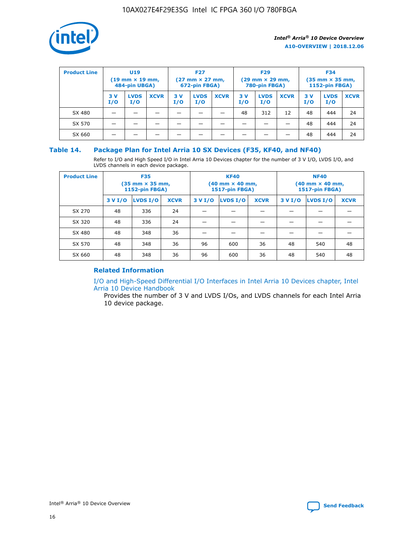

| <b>Product Line</b> | U <sub>19</sub><br>$(19 \text{ mm} \times 19 \text{ mm})$<br>484-pin UBGA) |                    | <b>F27</b><br>$(27 \text{ mm} \times 27 \text{ mm})$<br>672-pin FBGA) |           | <b>F29</b><br>$(29 \text{ mm} \times 29 \text{ mm})$<br>780-pin FBGA) |             |           | <b>F34</b><br>$(35$ mm $\times$ 35 mm,<br><b>1152-pin FBGA)</b> |             |           |                    |             |
|---------------------|----------------------------------------------------------------------------|--------------------|-----------------------------------------------------------------------|-----------|-----------------------------------------------------------------------|-------------|-----------|-----------------------------------------------------------------|-------------|-----------|--------------------|-------------|
|                     | 3V<br>I/O                                                                  | <b>LVDS</b><br>I/O | <b>XCVR</b>                                                           | 3V<br>I/O | <b>LVDS</b><br>I/O                                                    | <b>XCVR</b> | 3V<br>I/O | <b>LVDS</b><br>I/O                                              | <b>XCVR</b> | 3V<br>I/O | <b>LVDS</b><br>I/O | <b>XCVR</b> |
| SX 480              |                                                                            |                    |                                                                       |           |                                                                       |             | 48        | 312                                                             | 12          | 48        | 444                | 24          |
| SX 570              |                                                                            |                    |                                                                       |           |                                                                       |             |           |                                                                 |             | 48        | 444                | 24          |
| SX 660              |                                                                            |                    |                                                                       |           |                                                                       |             |           |                                                                 |             | 48        | 444                | 24          |

#### **Table 14. Package Plan for Intel Arria 10 SX Devices (F35, KF40, and NF40)**

Refer to I/O and High Speed I/O in Intel Arria 10 Devices chapter for the number of 3 V I/O, LVDS I/O, and LVDS channels in each device package.

| <b>Product Line</b> | <b>F35</b><br>(35 mm × 35 mm,<br><b>1152-pin FBGA)</b> |          |             |                                           | <b>KF40</b><br>(40 mm × 40 mm,<br>1517-pin FBGA) |    | <b>NF40</b><br>$(40 \text{ mm} \times 40 \text{ mm})$<br><b>1517-pin FBGA)</b> |          |             |  |
|---------------------|--------------------------------------------------------|----------|-------------|-------------------------------------------|--------------------------------------------------|----|--------------------------------------------------------------------------------|----------|-------------|--|
|                     | 3 V I/O                                                | LVDS I/O | <b>XCVR</b> | <b>LVDS I/O</b><br><b>XCVR</b><br>3 V I/O |                                                  |    | 3 V I/O                                                                        | LVDS I/O | <b>XCVR</b> |  |
| SX 270              | 48                                                     | 336      | 24          |                                           |                                                  |    |                                                                                |          |             |  |
| SX 320              | 48                                                     | 336      | 24          |                                           |                                                  |    |                                                                                |          |             |  |
| SX 480              | 48                                                     | 348      | 36          |                                           |                                                  |    |                                                                                |          |             |  |
| SX 570              | 48                                                     | 348      | 36          | 96<br>36<br>600                           |                                                  |    | 48                                                                             | 540      | 48          |  |
| SX 660              | 48                                                     | 348      | 36          | 96                                        | 600                                              | 36 | 48                                                                             | 540      | 48          |  |

#### **Related Information**

[I/O and High-Speed Differential I/O Interfaces in Intel Arria 10 Devices chapter, Intel](https://www.intel.com/content/www/us/en/programmable/documentation/sam1403482614086.html#sam1403482030321) [Arria 10 Device Handbook](https://www.intel.com/content/www/us/en/programmable/documentation/sam1403482614086.html#sam1403482030321)

Provides the number of 3 V and LVDS I/Os, and LVDS channels for each Intel Arria 10 device package.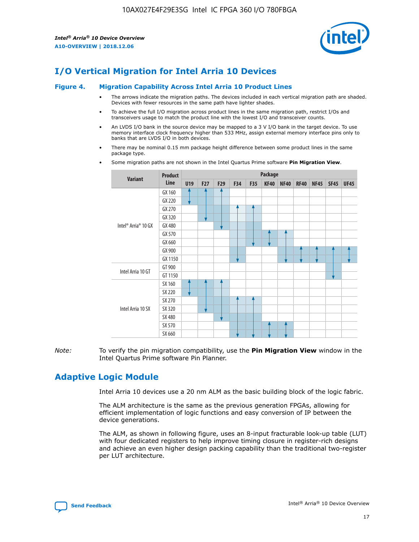

## **I/O Vertical Migration for Intel Arria 10 Devices**

#### **Figure 4. Migration Capability Across Intel Arria 10 Product Lines**

- The arrows indicate the migration paths. The devices included in each vertical migration path are shaded. Devices with fewer resources in the same path have lighter shades.
- To achieve the full I/O migration across product lines in the same migration path, restrict I/Os and transceivers usage to match the product line with the lowest I/O and transceiver counts.
- An LVDS I/O bank in the source device may be mapped to a 3 V I/O bank in the target device. To use memory interface clock frequency higher than 533 MHz, assign external memory interface pins only to banks that are LVDS I/O in both devices.
- There may be nominal 0.15 mm package height difference between some product lines in the same package type.
	- **Variant Product Line Package U19 F27 F29 F34 F35 KF40 NF40 RF40 NF45 SF45 UF45** Intel® Arria® 10 GX GX 160 GX 220 GX 270 GX 320 GX 480 GX 570 GX 660 GX 900 GX 1150 Intel Arria 10 GT GT 900 GT 1150 Intel Arria 10 SX SX 160 SX 220 SX 270 SX 320 SX 480 SX 570 SX 660
- Some migration paths are not shown in the Intel Quartus Prime software **Pin Migration View**.

*Note:* To verify the pin migration compatibility, use the **Pin Migration View** window in the Intel Quartus Prime software Pin Planner.

## **Adaptive Logic Module**

Intel Arria 10 devices use a 20 nm ALM as the basic building block of the logic fabric.

The ALM architecture is the same as the previous generation FPGAs, allowing for efficient implementation of logic functions and easy conversion of IP between the device generations.

The ALM, as shown in following figure, uses an 8-input fracturable look-up table (LUT) with four dedicated registers to help improve timing closure in register-rich designs and achieve an even higher design packing capability than the traditional two-register per LUT architecture.

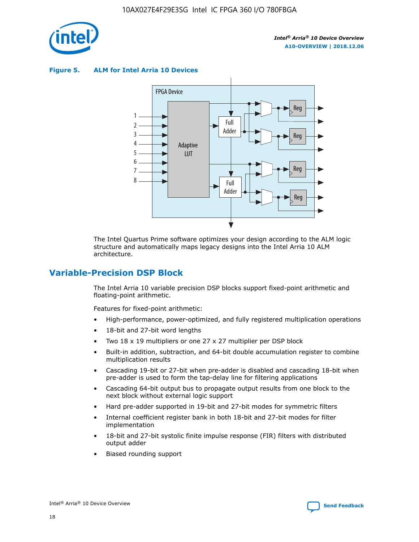

**Figure 5. ALM for Intel Arria 10 Devices**



The Intel Quartus Prime software optimizes your design according to the ALM logic structure and automatically maps legacy designs into the Intel Arria 10 ALM architecture.

## **Variable-Precision DSP Block**

The Intel Arria 10 variable precision DSP blocks support fixed-point arithmetic and floating-point arithmetic.

Features for fixed-point arithmetic:

- High-performance, power-optimized, and fully registered multiplication operations
- 18-bit and 27-bit word lengths
- Two 18 x 19 multipliers or one 27 x 27 multiplier per DSP block
- Built-in addition, subtraction, and 64-bit double accumulation register to combine multiplication results
- Cascading 19-bit or 27-bit when pre-adder is disabled and cascading 18-bit when pre-adder is used to form the tap-delay line for filtering applications
- Cascading 64-bit output bus to propagate output results from one block to the next block without external logic support
- Hard pre-adder supported in 19-bit and 27-bit modes for symmetric filters
- Internal coefficient register bank in both 18-bit and 27-bit modes for filter implementation
- 18-bit and 27-bit systolic finite impulse response (FIR) filters with distributed output adder
- Biased rounding support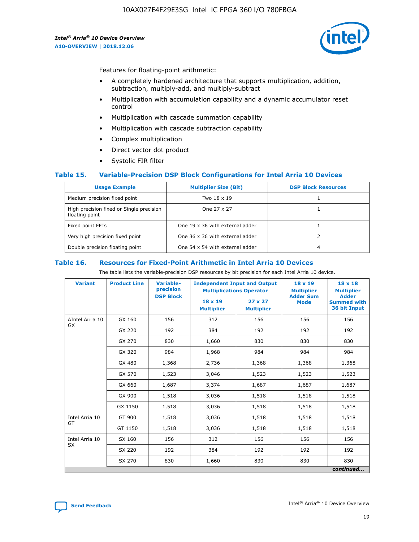

Features for floating-point arithmetic:

- A completely hardened architecture that supports multiplication, addition, subtraction, multiply-add, and multiply-subtract
- Multiplication with accumulation capability and a dynamic accumulator reset control
- Multiplication with cascade summation capability
- Multiplication with cascade subtraction capability
- Complex multiplication
- Direct vector dot product
- Systolic FIR filter

#### **Table 15. Variable-Precision DSP Block Configurations for Intel Arria 10 Devices**

| <b>Usage Example</b>                                       | <b>Multiplier Size (Bit)</b>    | <b>DSP Block Resources</b> |
|------------------------------------------------------------|---------------------------------|----------------------------|
| Medium precision fixed point                               | Two 18 x 19                     |                            |
| High precision fixed or Single precision<br>floating point | One 27 x 27                     |                            |
| Fixed point FFTs                                           | One 19 x 36 with external adder |                            |
| Very high precision fixed point                            | One 36 x 36 with external adder |                            |
| Double precision floating point                            | One 54 x 54 with external adder | 4                          |

#### **Table 16. Resources for Fixed-Point Arithmetic in Intel Arria 10 Devices**

The table lists the variable-precision DSP resources by bit precision for each Intel Arria 10 device.

| <b>Variant</b>  | <b>Product Line</b> | <b>Variable-</b><br>precision<br><b>DSP Block</b> | <b>Independent Input and Output</b><br><b>Multiplications Operator</b> |                                     | 18 x 19<br><b>Multiplier</b><br><b>Adder Sum</b> | $18 \times 18$<br><b>Multiplier</b><br><b>Adder</b> |
|-----------------|---------------------|---------------------------------------------------|------------------------------------------------------------------------|-------------------------------------|--------------------------------------------------|-----------------------------------------------------|
|                 |                     |                                                   | 18 x 19<br><b>Multiplier</b>                                           | $27 \times 27$<br><b>Multiplier</b> | <b>Mode</b>                                      | <b>Summed with</b><br>36 bit Input                  |
| AIntel Arria 10 | GX 160              | 156                                               | 312                                                                    | 156                                 | 156                                              | 156                                                 |
| GX              | GX 220              | 192                                               | 384                                                                    | 192                                 | 192                                              | 192                                                 |
|                 | GX 270              | 830                                               | 1,660                                                                  | 830                                 | 830                                              | 830                                                 |
|                 | GX 320              | 984                                               | 1,968                                                                  | 984                                 | 984                                              | 984                                                 |
|                 | GX 480              | 1,368                                             | 2,736                                                                  | 1,368                               | 1,368                                            | 1,368                                               |
|                 | GX 570              | 1,523                                             | 3,046                                                                  | 1,523                               | 1,523                                            | 1,523                                               |
|                 | GX 660              | 1,687                                             | 3,374                                                                  | 1,687                               | 1,687                                            | 1,687                                               |
|                 | GX 900              | 1,518                                             | 3,036                                                                  | 1,518                               | 1,518                                            | 1,518                                               |
|                 | GX 1150             | 1,518                                             | 3,036                                                                  | 1,518                               | 1,518                                            | 1,518                                               |
| Intel Arria 10  | GT 900              | 1,518                                             | 3,036                                                                  | 1,518                               | 1,518                                            | 1,518                                               |
| GT              | GT 1150             | 1,518                                             | 3,036                                                                  | 1,518                               | 1,518                                            | 1,518                                               |
| Intel Arria 10  | SX 160              | 156                                               | 312                                                                    | 156                                 | 156                                              | 156                                                 |
| <b>SX</b>       | SX 220              | 192                                               | 384                                                                    | 192                                 | 192                                              | 192                                                 |
|                 | SX 270              | 830                                               | 1,660                                                                  | 830                                 | 830                                              | 830                                                 |
|                 |                     |                                                   |                                                                        |                                     |                                                  | continued                                           |

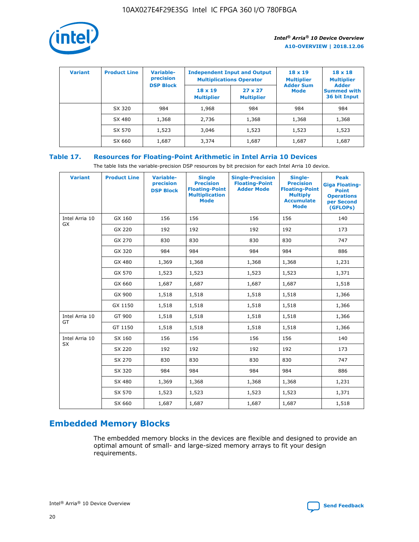

| <b>Variant</b> | <b>Product Line</b> | Variable-<br>precision | <b>Independent Input and Output</b><br><b>Multiplications Operator</b> |                                     | $18 \times 19$<br><b>Multiplier</b> | $18 \times 18$<br><b>Multiplier</b><br><b>Adder</b> |  |
|----------------|---------------------|------------------------|------------------------------------------------------------------------|-------------------------------------|-------------------------------------|-----------------------------------------------------|--|
|                |                     | <b>DSP Block</b>       | $18 \times 19$<br><b>Multiplier</b>                                    | $27 \times 27$<br><b>Multiplier</b> | <b>Adder Sum</b><br><b>Mode</b>     | <b>Summed with</b><br>36 bit Input                  |  |
|                | SX 320              | 984                    | 1,968                                                                  | 984                                 | 984                                 | 984                                                 |  |
|                | SX 480              | 1,368                  | 2,736                                                                  | 1,368                               | 1,368                               | 1,368                                               |  |
|                | SX 570              | 1,523                  | 3,046                                                                  | 1,523                               | 1,523                               | 1,523                                               |  |
|                | SX 660              | 1,687                  | 3,374                                                                  | 1,687                               | 1,687                               | 1,687                                               |  |

## **Table 17. Resources for Floating-Point Arithmetic in Intel Arria 10 Devices**

The table lists the variable-precision DSP resources by bit precision for each Intel Arria 10 device.

| <b>Variant</b> | <b>Product Line</b> | <b>Variable-</b><br>precision<br><b>DSP Block</b> | <b>Single</b><br><b>Precision</b><br><b>Floating-Point</b><br><b>Multiplication</b><br><b>Mode</b> | <b>Single-Precision</b><br><b>Floating-Point</b><br><b>Adder Mode</b> | Single-<br><b>Precision</b><br><b>Floating-Point</b><br><b>Multiply</b><br><b>Accumulate</b><br><b>Mode</b> | <b>Peak</b><br><b>Giga Floating-</b><br><b>Point</b><br><b>Operations</b><br>per Second<br>(GFLOPs) |
|----------------|---------------------|---------------------------------------------------|----------------------------------------------------------------------------------------------------|-----------------------------------------------------------------------|-------------------------------------------------------------------------------------------------------------|-----------------------------------------------------------------------------------------------------|
| Intel Arria 10 | GX 160              | 156                                               | 156                                                                                                | 156                                                                   | 156                                                                                                         | 140                                                                                                 |
| GX             | GX 220              | 192                                               | 192                                                                                                | 192                                                                   | 192                                                                                                         | 173                                                                                                 |
|                | GX 270              | 830                                               | 830                                                                                                | 830                                                                   | 830                                                                                                         | 747                                                                                                 |
|                | GX 320              | 984                                               | 984                                                                                                | 984                                                                   | 984                                                                                                         | 886                                                                                                 |
|                | GX 480              | 1,369                                             | 1,368                                                                                              | 1,368                                                                 | 1,368                                                                                                       | 1,231                                                                                               |
|                | GX 570              | 1,523                                             | 1,523                                                                                              | 1,523                                                                 | 1,523                                                                                                       | 1,371                                                                                               |
|                | GX 660              | 1,687                                             | 1,687                                                                                              | 1,687                                                                 | 1,687                                                                                                       | 1,518                                                                                               |
|                | GX 900              | 1,518                                             | 1,518                                                                                              | 1,518                                                                 | 1,518                                                                                                       | 1,366                                                                                               |
|                | GX 1150             | 1,518                                             | 1,518                                                                                              | 1,518                                                                 | 1,518                                                                                                       | 1,366                                                                                               |
| Intel Arria 10 | GT 900              | 1,518                                             | 1,518                                                                                              | 1,518                                                                 | 1,518                                                                                                       | 1,366                                                                                               |
| GT             | GT 1150             | 1,518                                             | 1,518                                                                                              | 1,518                                                                 | 1,518                                                                                                       | 1,366                                                                                               |
| Intel Arria 10 | SX 160              | 156                                               | 156                                                                                                | 156                                                                   | 156                                                                                                         | 140                                                                                                 |
| <b>SX</b>      | SX 220              | 192                                               | 192                                                                                                | 192                                                                   | 192                                                                                                         | 173                                                                                                 |
|                | SX 270              | 830                                               | 830                                                                                                | 830                                                                   | 830                                                                                                         | 747                                                                                                 |
|                | SX 320              | 984                                               | 984                                                                                                | 984                                                                   | 984                                                                                                         | 886                                                                                                 |
|                | SX 480              | 1,369                                             | 1,368                                                                                              | 1,368                                                                 | 1,368                                                                                                       | 1,231                                                                                               |
|                | SX 570              | 1,523                                             | 1,523                                                                                              | 1,523                                                                 | 1,523                                                                                                       | 1,371                                                                                               |
|                | SX 660              | 1,687                                             | 1,687                                                                                              | 1,687                                                                 | 1,687                                                                                                       | 1,518                                                                                               |

## **Embedded Memory Blocks**

The embedded memory blocks in the devices are flexible and designed to provide an optimal amount of small- and large-sized memory arrays to fit your design requirements.

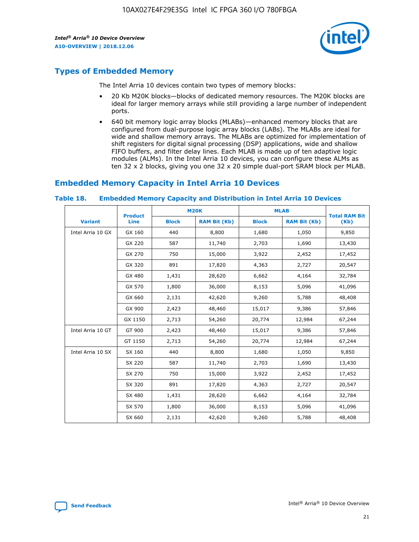

## **Types of Embedded Memory**

The Intel Arria 10 devices contain two types of memory blocks:

- 20 Kb M20K blocks—blocks of dedicated memory resources. The M20K blocks are ideal for larger memory arrays while still providing a large number of independent ports.
- 640 bit memory logic array blocks (MLABs)—enhanced memory blocks that are configured from dual-purpose logic array blocks (LABs). The MLABs are ideal for wide and shallow memory arrays. The MLABs are optimized for implementation of shift registers for digital signal processing (DSP) applications, wide and shallow FIFO buffers, and filter delay lines. Each MLAB is made up of ten adaptive logic modules (ALMs). In the Intel Arria 10 devices, you can configure these ALMs as ten 32 x 2 blocks, giving you one 32 x 20 simple dual-port SRAM block per MLAB.

## **Embedded Memory Capacity in Intel Arria 10 Devices**

|                   | <b>Product</b> |              | <b>M20K</b>         | <b>MLAB</b>  |                     | <b>Total RAM Bit</b> |
|-------------------|----------------|--------------|---------------------|--------------|---------------------|----------------------|
| <b>Variant</b>    | <b>Line</b>    | <b>Block</b> | <b>RAM Bit (Kb)</b> | <b>Block</b> | <b>RAM Bit (Kb)</b> | (Kb)                 |
| Intel Arria 10 GX | GX 160         | 440          | 8,800               | 1,680        | 1,050               | 9,850                |
|                   | GX 220         | 587          | 11,740              | 2,703        | 1,690               | 13,430               |
|                   | GX 270         | 750          | 15,000              | 3,922        | 2,452               | 17,452               |
|                   | GX 320         | 891          | 17,820              | 4,363        | 2,727               | 20,547               |
|                   | GX 480         | 1,431        | 28,620              | 6,662        | 4,164               | 32,784               |
|                   | GX 570         | 1,800        | 36,000              | 8,153        | 5,096               | 41,096               |
|                   | GX 660         | 2,131        | 42,620              | 9,260        | 5,788               | 48,408               |
|                   | GX 900         | 2,423        | 48,460              | 15,017       | 9,386               | 57,846               |
|                   | GX 1150        | 2,713        | 54,260              | 20,774       | 12,984              | 67,244               |
| Intel Arria 10 GT | GT 900         | 2,423        | 48,460              | 15,017       | 9,386               | 57,846               |
|                   | GT 1150        | 2,713        | 54,260              | 20,774       | 12,984              | 67,244               |
| Intel Arria 10 SX | SX 160         | 440          | 8,800               | 1,680        | 1,050               | 9,850                |
|                   | SX 220         | 587          | 11,740              | 2,703        | 1,690               | 13,430               |
|                   | SX 270         | 750          | 15,000              | 3,922        | 2,452               | 17,452               |
|                   | SX 320         | 891          | 17,820              | 4,363        | 2,727               | 20,547               |
|                   | SX 480         | 1,431        | 28,620              | 6,662        | 4,164               | 32,784               |
|                   | SX 570         | 1,800        | 36,000              | 8,153        | 5,096               | 41,096               |
|                   | SX 660         | 2,131        | 42,620              | 9,260        | 5,788               | 48,408               |

#### **Table 18. Embedded Memory Capacity and Distribution in Intel Arria 10 Devices**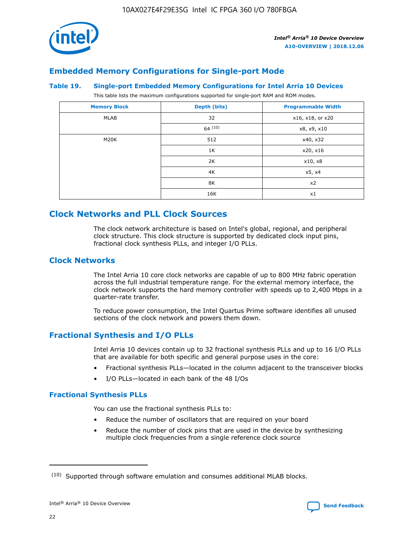

## **Embedded Memory Configurations for Single-port Mode**

#### **Table 19. Single-port Embedded Memory Configurations for Intel Arria 10 Devices**

This table lists the maximum configurations supported for single-port RAM and ROM modes.

| <b>Memory Block</b> | Depth (bits) | <b>Programmable Width</b> |
|---------------------|--------------|---------------------------|
| MLAB                | 32           | x16, x18, or x20          |
|                     | 64(10)       | x8, x9, x10               |
| M20K                | 512          | x40, x32                  |
|                     | 1K           | x20, x16                  |
|                     | 2K           | x10, x8                   |
|                     | 4K           | x5, x4                    |
|                     | 8K           | x2                        |
|                     | 16K          | x1                        |

## **Clock Networks and PLL Clock Sources**

The clock network architecture is based on Intel's global, regional, and peripheral clock structure. This clock structure is supported by dedicated clock input pins, fractional clock synthesis PLLs, and integer I/O PLLs.

#### **Clock Networks**

The Intel Arria 10 core clock networks are capable of up to 800 MHz fabric operation across the full industrial temperature range. For the external memory interface, the clock network supports the hard memory controller with speeds up to 2,400 Mbps in a quarter-rate transfer.

To reduce power consumption, the Intel Quartus Prime software identifies all unused sections of the clock network and powers them down.

#### **Fractional Synthesis and I/O PLLs**

Intel Arria 10 devices contain up to 32 fractional synthesis PLLs and up to 16 I/O PLLs that are available for both specific and general purpose uses in the core:

- Fractional synthesis PLLs—located in the column adjacent to the transceiver blocks
- I/O PLLs—located in each bank of the 48 I/Os

#### **Fractional Synthesis PLLs**

You can use the fractional synthesis PLLs to:

- Reduce the number of oscillators that are required on your board
- Reduce the number of clock pins that are used in the device by synthesizing multiple clock frequencies from a single reference clock source

<sup>(10)</sup> Supported through software emulation and consumes additional MLAB blocks.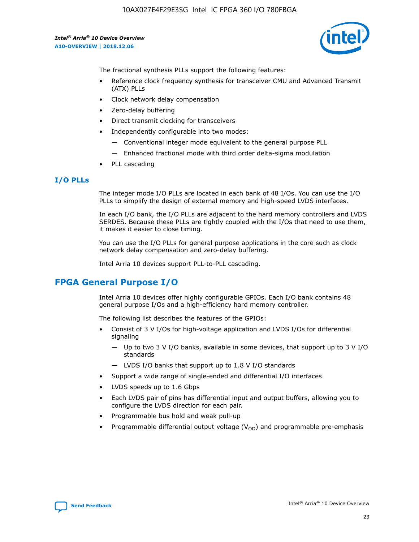10AX027E4F29E3SG Intel IC FPGA 360 I/O 780FBGA

*Intel® Arria® 10 Device Overview* **A10-OVERVIEW | 2018.12.06**



The fractional synthesis PLLs support the following features:

- Reference clock frequency synthesis for transceiver CMU and Advanced Transmit (ATX) PLLs
- Clock network delay compensation
- Zero-delay buffering
- Direct transmit clocking for transceivers
- Independently configurable into two modes:
	- Conventional integer mode equivalent to the general purpose PLL
	- Enhanced fractional mode with third order delta-sigma modulation
- PLL cascading

#### **I/O PLLs**

The integer mode I/O PLLs are located in each bank of 48 I/Os. You can use the I/O PLLs to simplify the design of external memory and high-speed LVDS interfaces.

In each I/O bank, the I/O PLLs are adjacent to the hard memory controllers and LVDS SERDES. Because these PLLs are tightly coupled with the I/Os that need to use them, it makes it easier to close timing.

You can use the I/O PLLs for general purpose applications in the core such as clock network delay compensation and zero-delay buffering.

Intel Arria 10 devices support PLL-to-PLL cascading.

## **FPGA General Purpose I/O**

Intel Arria 10 devices offer highly configurable GPIOs. Each I/O bank contains 48 general purpose I/Os and a high-efficiency hard memory controller.

The following list describes the features of the GPIOs:

- Consist of 3 V I/Os for high-voltage application and LVDS I/Os for differential signaling
	- Up to two 3 V I/O banks, available in some devices, that support up to 3 V I/O standards
	- LVDS I/O banks that support up to 1.8 V I/O standards
- Support a wide range of single-ended and differential I/O interfaces
- LVDS speeds up to 1.6 Gbps
- Each LVDS pair of pins has differential input and output buffers, allowing you to configure the LVDS direction for each pair.
- Programmable bus hold and weak pull-up
- Programmable differential output voltage  $(V_{OD})$  and programmable pre-emphasis

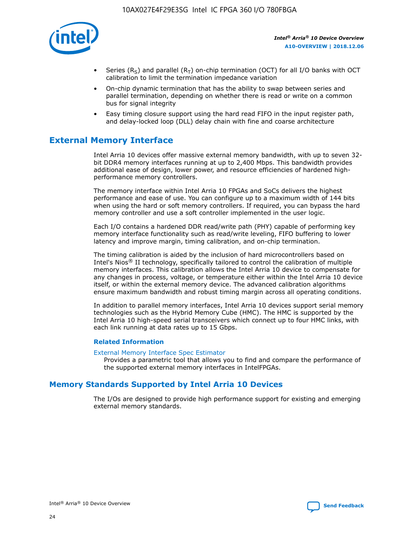

- Series (R<sub>S</sub>) and parallel (R<sub>T</sub>) on-chip termination (OCT) for all I/O banks with OCT calibration to limit the termination impedance variation
- On-chip dynamic termination that has the ability to swap between series and parallel termination, depending on whether there is read or write on a common bus for signal integrity
- Easy timing closure support using the hard read FIFO in the input register path, and delay-locked loop (DLL) delay chain with fine and coarse architecture

## **External Memory Interface**

Intel Arria 10 devices offer massive external memory bandwidth, with up to seven 32 bit DDR4 memory interfaces running at up to 2,400 Mbps. This bandwidth provides additional ease of design, lower power, and resource efficiencies of hardened highperformance memory controllers.

The memory interface within Intel Arria 10 FPGAs and SoCs delivers the highest performance and ease of use. You can configure up to a maximum width of 144 bits when using the hard or soft memory controllers. If required, you can bypass the hard memory controller and use a soft controller implemented in the user logic.

Each I/O contains a hardened DDR read/write path (PHY) capable of performing key memory interface functionality such as read/write leveling, FIFO buffering to lower latency and improve margin, timing calibration, and on-chip termination.

The timing calibration is aided by the inclusion of hard microcontrollers based on Intel's Nios® II technology, specifically tailored to control the calibration of multiple memory interfaces. This calibration allows the Intel Arria 10 device to compensate for any changes in process, voltage, or temperature either within the Intel Arria 10 device itself, or within the external memory device. The advanced calibration algorithms ensure maximum bandwidth and robust timing margin across all operating conditions.

In addition to parallel memory interfaces, Intel Arria 10 devices support serial memory technologies such as the Hybrid Memory Cube (HMC). The HMC is supported by the Intel Arria 10 high-speed serial transceivers which connect up to four HMC links, with each link running at data rates up to 15 Gbps.

#### **Related Information**

#### [External Memory Interface Spec Estimator](http://www.altera.com/technology/memory/estimator/mem-emif-index.html)

Provides a parametric tool that allows you to find and compare the performance of the supported external memory interfaces in IntelFPGAs.

## **Memory Standards Supported by Intel Arria 10 Devices**

The I/Os are designed to provide high performance support for existing and emerging external memory standards.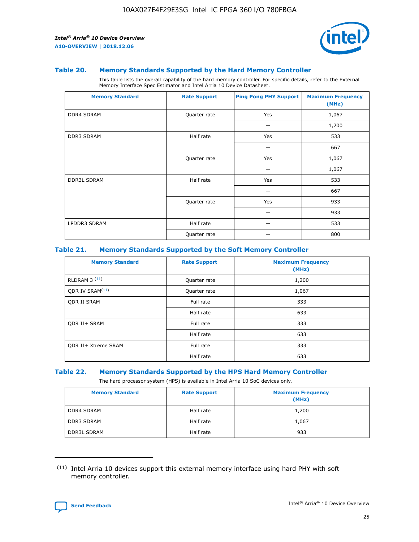

#### **Table 20. Memory Standards Supported by the Hard Memory Controller**

This table lists the overall capability of the hard memory controller. For specific details, refer to the External Memory Interface Spec Estimator and Intel Arria 10 Device Datasheet.

| <b>Memory Standard</b> | <b>Rate Support</b> | <b>Ping Pong PHY Support</b> | <b>Maximum Frequency</b><br>(MHz) |
|------------------------|---------------------|------------------------------|-----------------------------------|
| <b>DDR4 SDRAM</b>      | Quarter rate        | Yes                          | 1,067                             |
|                        |                     |                              | 1,200                             |
| DDR3 SDRAM             | Half rate           | Yes                          | 533                               |
|                        |                     |                              | 667                               |
|                        | Quarter rate        | Yes                          | 1,067                             |
|                        |                     |                              | 1,067                             |
| <b>DDR3L SDRAM</b>     | Half rate           | Yes                          | 533                               |
|                        |                     |                              | 667                               |
|                        | Quarter rate        | Yes                          | 933                               |
|                        |                     |                              | 933                               |
| LPDDR3 SDRAM           | Half rate           |                              | 533                               |
|                        | Quarter rate        |                              | 800                               |

#### **Table 21. Memory Standards Supported by the Soft Memory Controller**

| <b>Memory Standard</b>      | <b>Rate Support</b> | <b>Maximum Frequency</b><br>(MHz) |
|-----------------------------|---------------------|-----------------------------------|
| <b>RLDRAM 3 (11)</b>        | Quarter rate        | 1,200                             |
| ODR IV SRAM <sup>(11)</sup> | Quarter rate        | 1,067                             |
| <b>ODR II SRAM</b>          | Full rate           | 333                               |
|                             | Half rate           | 633                               |
| <b>ODR II+ SRAM</b>         | Full rate           | 333                               |
|                             | Half rate           | 633                               |
| <b>ODR II+ Xtreme SRAM</b>  | Full rate           | 333                               |
|                             | Half rate           | 633                               |

#### **Table 22. Memory Standards Supported by the HPS Hard Memory Controller**

The hard processor system (HPS) is available in Intel Arria 10 SoC devices only.

| <b>Memory Standard</b> | <b>Rate Support</b> | <b>Maximum Frequency</b><br>(MHz) |
|------------------------|---------------------|-----------------------------------|
| <b>DDR4 SDRAM</b>      | Half rate           | 1,200                             |
| <b>DDR3 SDRAM</b>      | Half rate           | 1,067                             |
| <b>DDR3L SDRAM</b>     | Half rate           | 933                               |

<sup>(11)</sup> Intel Arria 10 devices support this external memory interface using hard PHY with soft memory controller.

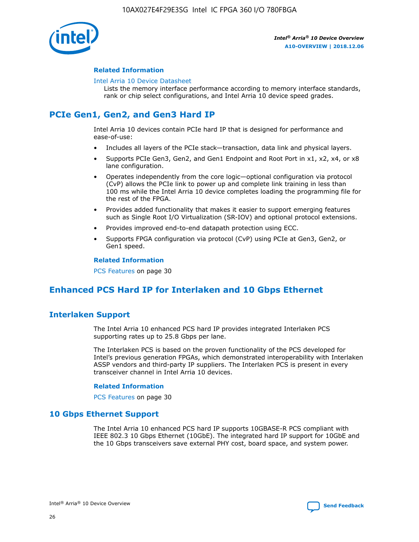

#### **Related Information**

#### [Intel Arria 10 Device Datasheet](https://www.intel.com/content/www/us/en/programmable/documentation/mcn1413182292568.html#mcn1413182153340)

Lists the memory interface performance according to memory interface standards, rank or chip select configurations, and Intel Arria 10 device speed grades.

## **PCIe Gen1, Gen2, and Gen3 Hard IP**

Intel Arria 10 devices contain PCIe hard IP that is designed for performance and ease-of-use:

- Includes all layers of the PCIe stack—transaction, data link and physical layers.
- Supports PCIe Gen3, Gen2, and Gen1 Endpoint and Root Port in x1, x2, x4, or x8 lane configuration.
- Operates independently from the core logic—optional configuration via protocol (CvP) allows the PCIe link to power up and complete link training in less than 100 ms while the Intel Arria 10 device completes loading the programming file for the rest of the FPGA.
- Provides added functionality that makes it easier to support emerging features such as Single Root I/O Virtualization (SR-IOV) and optional protocol extensions.
- Provides improved end-to-end datapath protection using ECC.
- Supports FPGA configuration via protocol (CvP) using PCIe at Gen3, Gen2, or Gen1 speed.

#### **Related Information**

PCS Features on page 30

## **Enhanced PCS Hard IP for Interlaken and 10 Gbps Ethernet**

## **Interlaken Support**

The Intel Arria 10 enhanced PCS hard IP provides integrated Interlaken PCS supporting rates up to 25.8 Gbps per lane.

The Interlaken PCS is based on the proven functionality of the PCS developed for Intel's previous generation FPGAs, which demonstrated interoperability with Interlaken ASSP vendors and third-party IP suppliers. The Interlaken PCS is present in every transceiver channel in Intel Arria 10 devices.

#### **Related Information**

PCS Features on page 30

#### **10 Gbps Ethernet Support**

The Intel Arria 10 enhanced PCS hard IP supports 10GBASE-R PCS compliant with IEEE 802.3 10 Gbps Ethernet (10GbE). The integrated hard IP support for 10GbE and the 10 Gbps transceivers save external PHY cost, board space, and system power.

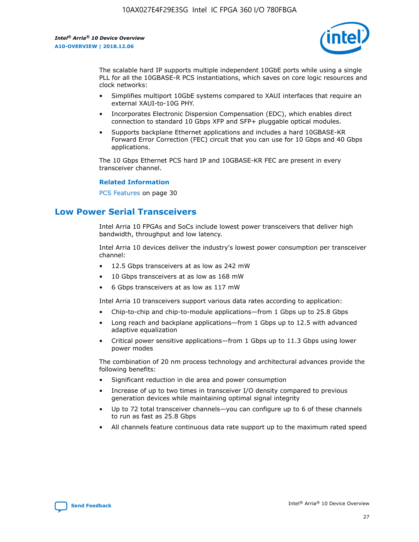

The scalable hard IP supports multiple independent 10GbE ports while using a single PLL for all the 10GBASE-R PCS instantiations, which saves on core logic resources and clock networks:

- Simplifies multiport 10GbE systems compared to XAUI interfaces that require an external XAUI-to-10G PHY.
- Incorporates Electronic Dispersion Compensation (EDC), which enables direct connection to standard 10 Gbps XFP and SFP+ pluggable optical modules.
- Supports backplane Ethernet applications and includes a hard 10GBASE-KR Forward Error Correction (FEC) circuit that you can use for 10 Gbps and 40 Gbps applications.

The 10 Gbps Ethernet PCS hard IP and 10GBASE-KR FEC are present in every transceiver channel.

#### **Related Information**

PCS Features on page 30

## **Low Power Serial Transceivers**

Intel Arria 10 FPGAs and SoCs include lowest power transceivers that deliver high bandwidth, throughput and low latency.

Intel Arria 10 devices deliver the industry's lowest power consumption per transceiver channel:

- 12.5 Gbps transceivers at as low as 242 mW
- 10 Gbps transceivers at as low as 168 mW
- 6 Gbps transceivers at as low as 117 mW

Intel Arria 10 transceivers support various data rates according to application:

- Chip-to-chip and chip-to-module applications—from 1 Gbps up to 25.8 Gbps
- Long reach and backplane applications—from 1 Gbps up to 12.5 with advanced adaptive equalization
- Critical power sensitive applications—from 1 Gbps up to 11.3 Gbps using lower power modes

The combination of 20 nm process technology and architectural advances provide the following benefits:

- Significant reduction in die area and power consumption
- Increase of up to two times in transceiver I/O density compared to previous generation devices while maintaining optimal signal integrity
- Up to 72 total transceiver channels—you can configure up to 6 of these channels to run as fast as 25.8 Gbps
- All channels feature continuous data rate support up to the maximum rated speed

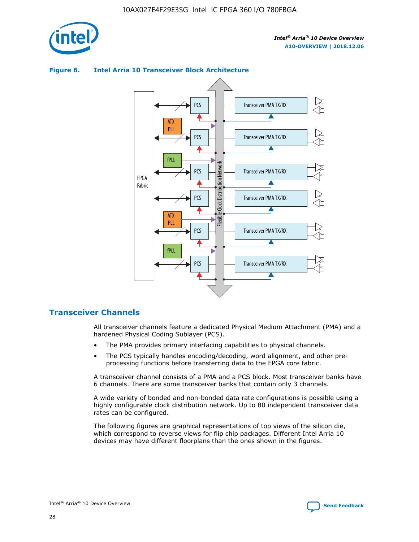

#### Transceiver PMA TX/RX PCS ATX PLL Transceiver PMA TX/RX PCS fPLL Network Flexible Clock Distribution Network PCS Transceiver PMA TX/RX FPGA **Clock Distribution** Fabric PCS Transceiver PMA TX/RX ATX Flexible PLL PCS Transceiver PMA TX/RX ▲ fPLL Transceiver PMA TX/RX PCS 4

#### **Figure 6. Intel Arria 10 Transceiver Block Architecture**

#### **Transceiver Channels**

All transceiver channels feature a dedicated Physical Medium Attachment (PMA) and a hardened Physical Coding Sublayer (PCS).

- The PMA provides primary interfacing capabilities to physical channels.
- The PCS typically handles encoding/decoding, word alignment, and other preprocessing functions before transferring data to the FPGA core fabric.

A transceiver channel consists of a PMA and a PCS block. Most transceiver banks have 6 channels. There are some transceiver banks that contain only 3 channels.

A wide variety of bonded and non-bonded data rate configurations is possible using a highly configurable clock distribution network. Up to 80 independent transceiver data rates can be configured.

The following figures are graphical representations of top views of the silicon die, which correspond to reverse views for flip chip packages. Different Intel Arria 10 devices may have different floorplans than the ones shown in the figures.

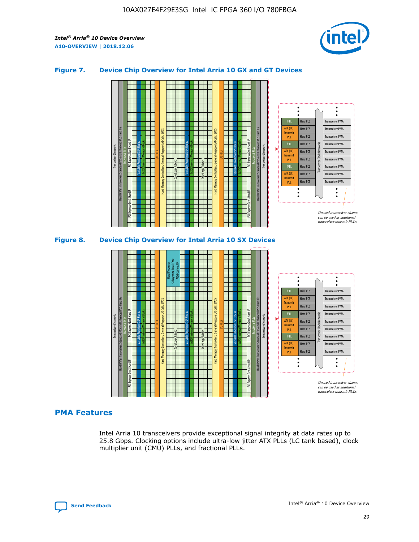

#### **Figure 7. Device Chip Overview for Intel Arria 10 GX and GT Devices**



#### **PMA Features**

Intel Arria 10 transceivers provide exceptional signal integrity at data rates up to 25.8 Gbps. Clocking options include ultra-low jitter ATX PLLs (LC tank based), clock multiplier unit (CMU) PLLs, and fractional PLLs.



Hard PCS Hard PCS Hard PCS Hard PCS Hard PCS

ATX (LC) Transmi PLL fPLL ATX (LC) **Transmit** PLL

Transceiver PMA Transceiver PMA Transceiver PMA

Transceiver PMA Transceiver PMA

Unused transceiver chann can be used as additional transceiver transmit PLLs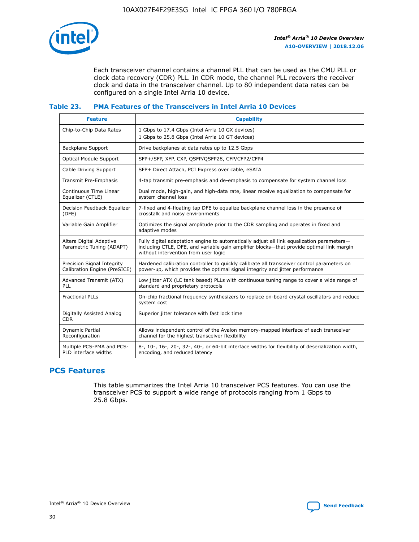

Each transceiver channel contains a channel PLL that can be used as the CMU PLL or clock data recovery (CDR) PLL. In CDR mode, the channel PLL recovers the receiver clock and data in the transceiver channel. Up to 80 independent data rates can be configured on a single Intel Arria 10 device.

#### **Table 23. PMA Features of the Transceivers in Intel Arria 10 Devices**

| <b>Feature</b>                                             | <b>Capability</b>                                                                                                                                                                                                             |
|------------------------------------------------------------|-------------------------------------------------------------------------------------------------------------------------------------------------------------------------------------------------------------------------------|
| Chip-to-Chip Data Rates                                    | 1 Gbps to 17.4 Gbps (Intel Arria 10 GX devices)<br>1 Gbps to 25.8 Gbps (Intel Arria 10 GT devices)                                                                                                                            |
| Backplane Support                                          | Drive backplanes at data rates up to 12.5 Gbps                                                                                                                                                                                |
| Optical Module Support                                     | SFP+/SFP, XFP, CXP, QSFP/QSFP28, CFP/CFP2/CFP4                                                                                                                                                                                |
| Cable Driving Support                                      | SFP+ Direct Attach, PCI Express over cable, eSATA                                                                                                                                                                             |
| Transmit Pre-Emphasis                                      | 4-tap transmit pre-emphasis and de-emphasis to compensate for system channel loss                                                                                                                                             |
| Continuous Time Linear<br>Equalizer (CTLE)                 | Dual mode, high-gain, and high-data rate, linear receive equalization to compensate for<br>system channel loss                                                                                                                |
| Decision Feedback Equalizer<br>(DFE)                       | 7-fixed and 4-floating tap DFE to equalize backplane channel loss in the presence of<br>crosstalk and noisy environments                                                                                                      |
| Variable Gain Amplifier                                    | Optimizes the signal amplitude prior to the CDR sampling and operates in fixed and<br>adaptive modes                                                                                                                          |
| Altera Digital Adaptive<br>Parametric Tuning (ADAPT)       | Fully digital adaptation engine to automatically adjust all link equalization parameters-<br>including CTLE, DFE, and variable gain amplifier blocks—that provide optimal link margin<br>without intervention from user logic |
| Precision Signal Integrity<br>Calibration Engine (PreSICE) | Hardened calibration controller to quickly calibrate all transceiver control parameters on<br>power-up, which provides the optimal signal integrity and jitter performance                                                    |
| Advanced Transmit (ATX)<br>PLL                             | Low jitter ATX (LC tank based) PLLs with continuous tuning range to cover a wide range of<br>standard and proprietary protocols                                                                                               |
| <b>Fractional PLLs</b>                                     | On-chip fractional frequency synthesizers to replace on-board crystal oscillators and reduce<br>system cost                                                                                                                   |
| Digitally Assisted Analog<br><b>CDR</b>                    | Superior jitter tolerance with fast lock time                                                                                                                                                                                 |
| Dynamic Partial<br>Reconfiguration                         | Allows independent control of the Avalon memory-mapped interface of each transceiver<br>channel for the highest transceiver flexibility                                                                                       |
| Multiple PCS-PMA and PCS-<br>PLD interface widths          | 8-, 10-, 16-, 20-, 32-, 40-, or 64-bit interface widths for flexibility of deserialization width,<br>encoding, and reduced latency                                                                                            |

## **PCS Features**

This table summarizes the Intel Arria 10 transceiver PCS features. You can use the transceiver PCS to support a wide range of protocols ranging from 1 Gbps to 25.8 Gbps.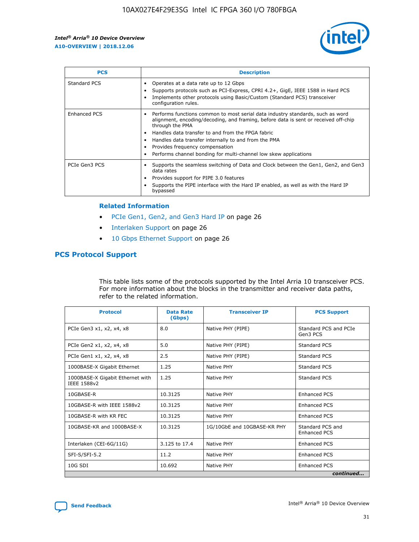

| <b>PCS</b>          | <b>Description</b>                                                                                                                                                                                                                                                                                                                                                                                             |
|---------------------|----------------------------------------------------------------------------------------------------------------------------------------------------------------------------------------------------------------------------------------------------------------------------------------------------------------------------------------------------------------------------------------------------------------|
| Standard PCS        | Operates at a data rate up to 12 Gbps<br>Supports protocols such as PCI-Express, CPRI 4.2+, GigE, IEEE 1588 in Hard PCS<br>Implements other protocols using Basic/Custom (Standard PCS) transceiver<br>configuration rules.                                                                                                                                                                                    |
| <b>Enhanced PCS</b> | Performs functions common to most serial data industry standards, such as word<br>alignment, encoding/decoding, and framing, before data is sent or received off-chip<br>through the PMA<br>• Handles data transfer to and from the FPGA fabric<br>Handles data transfer internally to and from the PMA<br>Provides frequency compensation<br>Performs channel bonding for multi-channel low skew applications |
| PCIe Gen3 PCS       | Supports the seamless switching of Data and Clock between the Gen1, Gen2, and Gen3<br>data rates<br>Provides support for PIPE 3.0 features<br>Supports the PIPE interface with the Hard IP enabled, as well as with the Hard IP<br>bypassed                                                                                                                                                                    |

#### **Related Information**

- PCIe Gen1, Gen2, and Gen3 Hard IP on page 26
- Interlaken Support on page 26
- 10 Gbps Ethernet Support on page 26

#### **PCS Protocol Support**

This table lists some of the protocols supported by the Intel Arria 10 transceiver PCS. For more information about the blocks in the transmitter and receiver data paths, refer to the related information.

| <b>Protocol</b>                                 | <b>Data Rate</b><br>(Gbps) | <b>Transceiver IP</b>       | <b>PCS Support</b>                      |
|-------------------------------------------------|----------------------------|-----------------------------|-----------------------------------------|
| PCIe Gen3 x1, x2, x4, x8                        | 8.0                        | Native PHY (PIPE)           | Standard PCS and PCIe<br>Gen3 PCS       |
| PCIe Gen2 x1, x2, x4, x8                        | 5.0                        | Native PHY (PIPE)           | <b>Standard PCS</b>                     |
| PCIe Gen1 x1, x2, x4, x8                        | 2.5                        | Native PHY (PIPE)           | Standard PCS                            |
| 1000BASE-X Gigabit Ethernet                     | 1.25                       | Native PHY                  | <b>Standard PCS</b>                     |
| 1000BASE-X Gigabit Ethernet with<br>IEEE 1588v2 | 1.25                       | Native PHY                  | Standard PCS                            |
| 10GBASE-R                                       | 10.3125                    | Native PHY                  | <b>Enhanced PCS</b>                     |
| 10GBASE-R with IEEE 1588v2                      | 10.3125                    | Native PHY                  | <b>Enhanced PCS</b>                     |
| 10GBASE-R with KR FEC                           | 10.3125                    | Native PHY                  | <b>Enhanced PCS</b>                     |
| 10GBASE-KR and 1000BASE-X                       | 10.3125                    | 1G/10GbE and 10GBASE-KR PHY | Standard PCS and<br><b>Enhanced PCS</b> |
| Interlaken (CEI-6G/11G)                         | 3.125 to 17.4              | Native PHY                  | <b>Enhanced PCS</b>                     |
| SFI-S/SFI-5.2                                   | 11.2                       | Native PHY                  | <b>Enhanced PCS</b>                     |
| $10G$ SDI                                       | 10.692                     | Native PHY                  | <b>Enhanced PCS</b>                     |
|                                                 |                            |                             | continued                               |

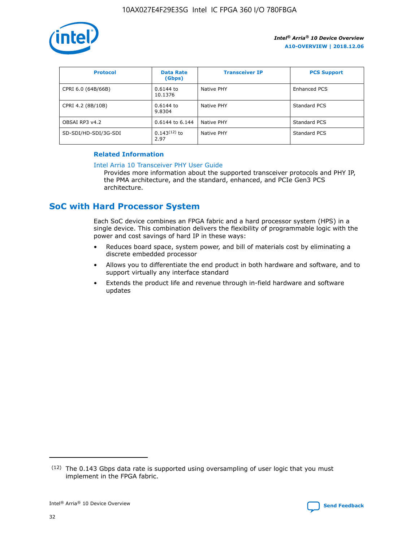

| <b>Protocol</b>      | <b>Data Rate</b><br>(Gbps) | <b>Transceiver IP</b> | <b>PCS Support</b> |
|----------------------|----------------------------|-----------------------|--------------------|
| CPRI 6.0 (64B/66B)   | 0.6144 to<br>10.1376       | Native PHY            | Enhanced PCS       |
| CPRI 4.2 (8B/10B)    | 0.6144 to<br>9.8304        | Native PHY            | Standard PCS       |
| OBSAI RP3 v4.2       | 0.6144 to 6.144            | Native PHY            | Standard PCS       |
| SD-SDI/HD-SDI/3G-SDI | $0.143(12)$ to<br>2.97     | Native PHY            | Standard PCS       |

#### **Related Information**

#### [Intel Arria 10 Transceiver PHY User Guide](https://www.intel.com/content/www/us/en/programmable/documentation/nik1398707230472.html#nik1398707091164)

Provides more information about the supported transceiver protocols and PHY IP, the PMA architecture, and the standard, enhanced, and PCIe Gen3 PCS architecture.

## **SoC with Hard Processor System**

Each SoC device combines an FPGA fabric and a hard processor system (HPS) in a single device. This combination delivers the flexibility of programmable logic with the power and cost savings of hard IP in these ways:

- Reduces board space, system power, and bill of materials cost by eliminating a discrete embedded processor
- Allows you to differentiate the end product in both hardware and software, and to support virtually any interface standard
- Extends the product life and revenue through in-field hardware and software updates

 $(12)$  The 0.143 Gbps data rate is supported using oversampling of user logic that you must implement in the FPGA fabric.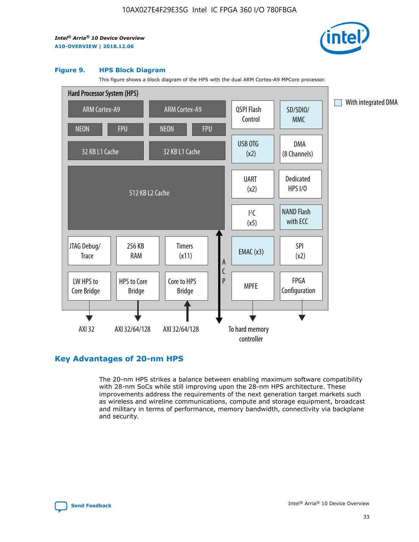

#### **Figure 9. HPS Block Diagram**

This figure shows a block diagram of the HPS with the dual ARM Cortex-A9 MPCore processor.



## **Key Advantages of 20-nm HPS**

The 20-nm HPS strikes a balance between enabling maximum software compatibility with 28-nm SoCs while still improving upon the 28-nm HPS architecture. These improvements address the requirements of the next generation target markets such as wireless and wireline communications, compute and storage equipment, broadcast and military in terms of performance, memory bandwidth, connectivity via backplane and security.

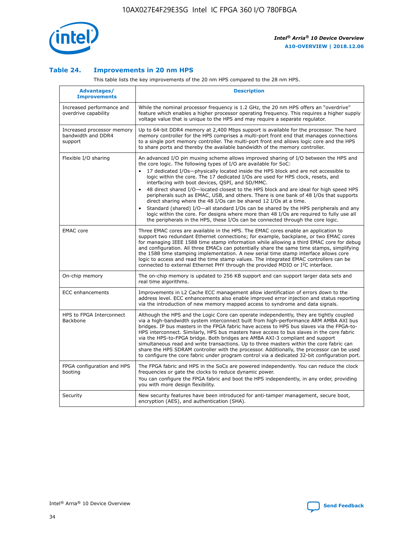

#### **Table 24. Improvements in 20 nm HPS**

This table lists the key improvements of the 20 nm HPS compared to the 28 nm HPS.

| Advantages/<br><b>Improvements</b>                          | <b>Description</b>                                                                                                                                                                                                                                                                                                                                                                                                                                                                                                                                                                                                                                                                                                                                                                                                                                                                                                                                |
|-------------------------------------------------------------|---------------------------------------------------------------------------------------------------------------------------------------------------------------------------------------------------------------------------------------------------------------------------------------------------------------------------------------------------------------------------------------------------------------------------------------------------------------------------------------------------------------------------------------------------------------------------------------------------------------------------------------------------------------------------------------------------------------------------------------------------------------------------------------------------------------------------------------------------------------------------------------------------------------------------------------------------|
| Increased performance and<br>overdrive capability           | While the nominal processor frequency is 1.2 GHz, the 20 nm HPS offers an "overdrive"<br>feature which enables a higher processor operating frequency. This requires a higher supply<br>voltage value that is unique to the HPS and may require a separate regulator.                                                                                                                                                                                                                                                                                                                                                                                                                                                                                                                                                                                                                                                                             |
| Increased processor memory<br>bandwidth and DDR4<br>support | Up to 64-bit DDR4 memory at 2,400 Mbps support is available for the processor. The hard<br>memory controller for the HPS comprises a multi-port front end that manages connections<br>to a single port memory controller. The multi-port front end allows logic core and the HPS<br>to share ports and thereby the available bandwidth of the memory controller.                                                                                                                                                                                                                                                                                                                                                                                                                                                                                                                                                                                  |
| Flexible I/O sharing                                        | An advanced I/O pin muxing scheme allows improved sharing of I/O between the HPS and<br>the core logic. The following types of I/O are available for SoC:<br>$\bullet$<br>17 dedicated I/Os-physically located inside the HPS block and are not accessible to<br>logic within the core. The 17 dedicated I/Os are used for HPS clock, resets, and<br>interfacing with boot devices, QSPI, and SD/MMC.<br>48 direct shared I/O-located closest to the HPS block and are ideal for high speed HPS<br>$\bullet$<br>peripherals such as EMAC, USB, and others. There is one bank of 48 I/Os that supports<br>direct sharing where the 48 I/Os can be shared 12 I/Os at a time.<br>Standard (shared) I/O-all standard I/Os can be shared by the HPS peripherals and any<br>logic within the core. For designs where more than 48 I/Os are required to fully use all<br>the peripherals in the HPS, these I/Os can be connected through the core logic. |
| <b>EMAC</b> core                                            | Three EMAC cores are available in the HPS. The EMAC cores enable an application to<br>support two redundant Ethernet connections; for example, backplane, or two EMAC cores<br>for managing IEEE 1588 time stamp information while allowing a third EMAC core for debug<br>and configuration. All three EMACs can potentially share the same time stamps, simplifying<br>the 1588 time stamping implementation. A new serial time stamp interface allows core<br>logic to access and read the time stamp values. The integrated EMAC controllers can be<br>connected to external Ethernet PHY through the provided MDIO or I <sup>2</sup> C interface.                                                                                                                                                                                                                                                                                            |
| On-chip memory                                              | The on-chip memory is updated to 256 KB support and can support larger data sets and<br>real time algorithms.                                                                                                                                                                                                                                                                                                                                                                                                                                                                                                                                                                                                                                                                                                                                                                                                                                     |
| <b>ECC</b> enhancements                                     | Improvements in L2 Cache ECC management allow identification of errors down to the<br>address level. ECC enhancements also enable improved error injection and status reporting<br>via the introduction of new memory mapped access to syndrome and data signals.                                                                                                                                                                                                                                                                                                                                                                                                                                                                                                                                                                                                                                                                                 |
| HPS to FPGA Interconnect<br>Backbone                        | Although the HPS and the Logic Core can operate independently, they are tightly coupled<br>via a high-bandwidth system interconnect built from high-performance ARM AMBA AXI bus<br>bridges. IP bus masters in the FPGA fabric have access to HPS bus slaves via the FPGA-to-<br>HPS interconnect. Similarly, HPS bus masters have access to bus slaves in the core fabric<br>via the HPS-to-FPGA bridge. Both bridges are AMBA AXI-3 compliant and support<br>simultaneous read and write transactions. Up to three masters within the core fabric can<br>share the HPS SDRAM controller with the processor. Additionally, the processor can be used<br>to configure the core fabric under program control via a dedicated 32-bit configuration port.                                                                                                                                                                                            |
| FPGA configuration and HPS<br>booting                       | The FPGA fabric and HPS in the SoCs are powered independently. You can reduce the clock<br>frequencies or gate the clocks to reduce dynamic power.<br>You can configure the FPGA fabric and boot the HPS independently, in any order, providing<br>you with more design flexibility.                                                                                                                                                                                                                                                                                                                                                                                                                                                                                                                                                                                                                                                              |
| Security                                                    | New security features have been introduced for anti-tamper management, secure boot,<br>encryption (AES), and authentication (SHA).                                                                                                                                                                                                                                                                                                                                                                                                                                                                                                                                                                                                                                                                                                                                                                                                                |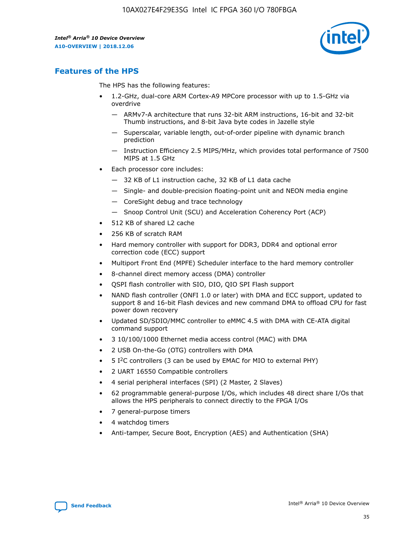

## **Features of the HPS**

The HPS has the following features:

- 1.2-GHz, dual-core ARM Cortex-A9 MPCore processor with up to 1.5-GHz via overdrive
	- ARMv7-A architecture that runs 32-bit ARM instructions, 16-bit and 32-bit Thumb instructions, and 8-bit Java byte codes in Jazelle style
	- Superscalar, variable length, out-of-order pipeline with dynamic branch prediction
	- Instruction Efficiency 2.5 MIPS/MHz, which provides total performance of 7500 MIPS at 1.5 GHz
- Each processor core includes:
	- 32 KB of L1 instruction cache, 32 KB of L1 data cache
	- Single- and double-precision floating-point unit and NEON media engine
	- CoreSight debug and trace technology
	- Snoop Control Unit (SCU) and Acceleration Coherency Port (ACP)
- 512 KB of shared L2 cache
- 256 KB of scratch RAM
- Hard memory controller with support for DDR3, DDR4 and optional error correction code (ECC) support
- Multiport Front End (MPFE) Scheduler interface to the hard memory controller
- 8-channel direct memory access (DMA) controller
- QSPI flash controller with SIO, DIO, QIO SPI Flash support
- NAND flash controller (ONFI 1.0 or later) with DMA and ECC support, updated to support 8 and 16-bit Flash devices and new command DMA to offload CPU for fast power down recovery
- Updated SD/SDIO/MMC controller to eMMC 4.5 with DMA with CE-ATA digital command support
- 3 10/100/1000 Ethernet media access control (MAC) with DMA
- 2 USB On-the-Go (OTG) controllers with DMA
- $\bullet$  5 I<sup>2</sup>C controllers (3 can be used by EMAC for MIO to external PHY)
- 2 UART 16550 Compatible controllers
- 4 serial peripheral interfaces (SPI) (2 Master, 2 Slaves)
- 62 programmable general-purpose I/Os, which includes 48 direct share I/Os that allows the HPS peripherals to connect directly to the FPGA I/Os
- 7 general-purpose timers
- 4 watchdog timers
- Anti-tamper, Secure Boot, Encryption (AES) and Authentication (SHA)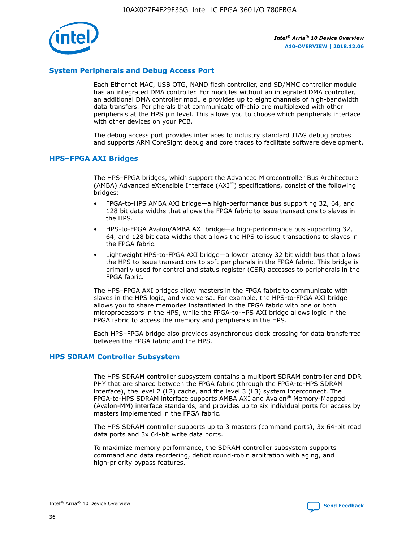

#### **System Peripherals and Debug Access Port**

Each Ethernet MAC, USB OTG, NAND flash controller, and SD/MMC controller module has an integrated DMA controller. For modules without an integrated DMA controller, an additional DMA controller module provides up to eight channels of high-bandwidth data transfers. Peripherals that communicate off-chip are multiplexed with other peripherals at the HPS pin level. This allows you to choose which peripherals interface with other devices on your PCB.

The debug access port provides interfaces to industry standard JTAG debug probes and supports ARM CoreSight debug and core traces to facilitate software development.

#### **HPS–FPGA AXI Bridges**

The HPS–FPGA bridges, which support the Advanced Microcontroller Bus Architecture (AMBA) Advanced eXtensible Interface (AXI™) specifications, consist of the following bridges:

- FPGA-to-HPS AMBA AXI bridge—a high-performance bus supporting 32, 64, and 128 bit data widths that allows the FPGA fabric to issue transactions to slaves in the HPS.
- HPS-to-FPGA Avalon/AMBA AXI bridge—a high-performance bus supporting 32, 64, and 128 bit data widths that allows the HPS to issue transactions to slaves in the FPGA fabric.
- Lightweight HPS-to-FPGA AXI bridge—a lower latency 32 bit width bus that allows the HPS to issue transactions to soft peripherals in the FPGA fabric. This bridge is primarily used for control and status register (CSR) accesses to peripherals in the FPGA fabric.

The HPS–FPGA AXI bridges allow masters in the FPGA fabric to communicate with slaves in the HPS logic, and vice versa. For example, the HPS-to-FPGA AXI bridge allows you to share memories instantiated in the FPGA fabric with one or both microprocessors in the HPS, while the FPGA-to-HPS AXI bridge allows logic in the FPGA fabric to access the memory and peripherals in the HPS.

Each HPS–FPGA bridge also provides asynchronous clock crossing for data transferred between the FPGA fabric and the HPS.

#### **HPS SDRAM Controller Subsystem**

The HPS SDRAM controller subsystem contains a multiport SDRAM controller and DDR PHY that are shared between the FPGA fabric (through the FPGA-to-HPS SDRAM interface), the level 2 (L2) cache, and the level 3 (L3) system interconnect. The FPGA-to-HPS SDRAM interface supports AMBA AXI and Avalon® Memory-Mapped (Avalon-MM) interface standards, and provides up to six individual ports for access by masters implemented in the FPGA fabric.

The HPS SDRAM controller supports up to 3 masters (command ports), 3x 64-bit read data ports and 3x 64-bit write data ports.

To maximize memory performance, the SDRAM controller subsystem supports command and data reordering, deficit round-robin arbitration with aging, and high-priority bypass features.

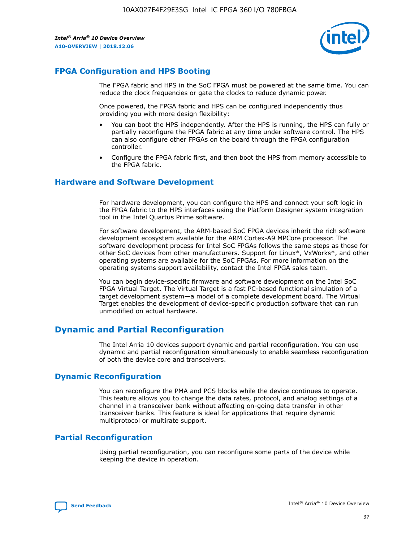

## **FPGA Configuration and HPS Booting**

The FPGA fabric and HPS in the SoC FPGA must be powered at the same time. You can reduce the clock frequencies or gate the clocks to reduce dynamic power.

Once powered, the FPGA fabric and HPS can be configured independently thus providing you with more design flexibility:

- You can boot the HPS independently. After the HPS is running, the HPS can fully or partially reconfigure the FPGA fabric at any time under software control. The HPS can also configure other FPGAs on the board through the FPGA configuration controller.
- Configure the FPGA fabric first, and then boot the HPS from memory accessible to the FPGA fabric.

#### **Hardware and Software Development**

For hardware development, you can configure the HPS and connect your soft logic in the FPGA fabric to the HPS interfaces using the Platform Designer system integration tool in the Intel Quartus Prime software.

For software development, the ARM-based SoC FPGA devices inherit the rich software development ecosystem available for the ARM Cortex-A9 MPCore processor. The software development process for Intel SoC FPGAs follows the same steps as those for other SoC devices from other manufacturers. Support for Linux\*, VxWorks\*, and other operating systems are available for the SoC FPGAs. For more information on the operating systems support availability, contact the Intel FPGA sales team.

You can begin device-specific firmware and software development on the Intel SoC FPGA Virtual Target. The Virtual Target is a fast PC-based functional simulation of a target development system—a model of a complete development board. The Virtual Target enables the development of device-specific production software that can run unmodified on actual hardware.

## **Dynamic and Partial Reconfiguration**

The Intel Arria 10 devices support dynamic and partial reconfiguration. You can use dynamic and partial reconfiguration simultaneously to enable seamless reconfiguration of both the device core and transceivers.

## **Dynamic Reconfiguration**

You can reconfigure the PMA and PCS blocks while the device continues to operate. This feature allows you to change the data rates, protocol, and analog settings of a channel in a transceiver bank without affecting on-going data transfer in other transceiver banks. This feature is ideal for applications that require dynamic multiprotocol or multirate support.

## **Partial Reconfiguration**

Using partial reconfiguration, you can reconfigure some parts of the device while keeping the device in operation.

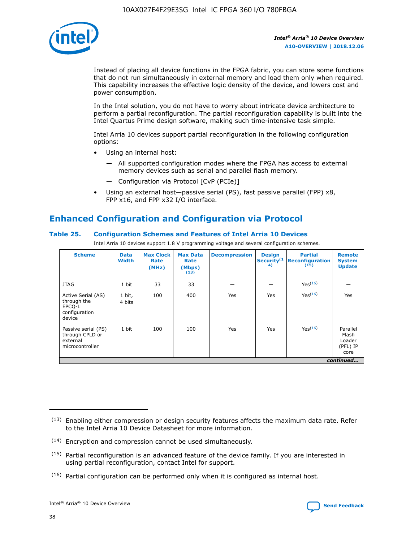

Instead of placing all device functions in the FPGA fabric, you can store some functions that do not run simultaneously in external memory and load them only when required. This capability increases the effective logic density of the device, and lowers cost and power consumption.

In the Intel solution, you do not have to worry about intricate device architecture to perform a partial reconfiguration. The partial reconfiguration capability is built into the Intel Quartus Prime design software, making such time-intensive task simple.

Intel Arria 10 devices support partial reconfiguration in the following configuration options:

- Using an internal host:
	- All supported configuration modes where the FPGA has access to external memory devices such as serial and parallel flash memory.
	- Configuration via Protocol [CvP (PCIe)]
- Using an external host—passive serial (PS), fast passive parallel (FPP) x8, FPP x16, and FPP x32 I/O interface.

## **Enhanced Configuration and Configuration via Protocol**

#### **Table 25. Configuration Schemes and Features of Intel Arria 10 Devices**

Intel Arria 10 devices support 1.8 V programming voltage and several configuration schemes.

| <b>Scheme</b>                                                          | <b>Data</b><br><b>Width</b> | <b>Max Clock</b><br>Rate<br>(MHz) | <b>Max Data</b><br>Rate<br>(Mbps)<br>(13) | <b>Decompression</b> | <b>Design</b><br>Security <sup>(1</sup><br>4) | <b>Partial</b><br><b>Reconfiguration</b><br>(15) | <b>Remote</b><br><b>System</b><br><b>Update</b> |
|------------------------------------------------------------------------|-----------------------------|-----------------------------------|-------------------------------------------|----------------------|-----------------------------------------------|--------------------------------------------------|-------------------------------------------------|
| <b>JTAG</b>                                                            | 1 bit                       | 33                                | 33                                        |                      |                                               | Yes(16)                                          |                                                 |
| Active Serial (AS)<br>through the<br>EPCO-L<br>configuration<br>device | 1 bit,<br>4 bits            | 100                               | 400                                       | Yes                  | Yes                                           | $Y_{PS}(16)$                                     | Yes                                             |
| Passive serial (PS)<br>through CPLD or<br>external<br>microcontroller  | 1 bit                       | 100                               | 100                                       | Yes                  | Yes                                           | Yes <sup>(16)</sup>                              | Parallel<br>Flash<br>Loader<br>(PFL) IP<br>core |
|                                                                        | continued                   |                                   |                                           |                      |                                               |                                                  |                                                 |

<sup>(13)</sup> Enabling either compression or design security features affects the maximum data rate. Refer to the Intel Arria 10 Device Datasheet for more information.

<sup>(14)</sup> Encryption and compression cannot be used simultaneously.

 $(15)$  Partial reconfiguration is an advanced feature of the device family. If you are interested in using partial reconfiguration, contact Intel for support.

 $(16)$  Partial configuration can be performed only when it is configured as internal host.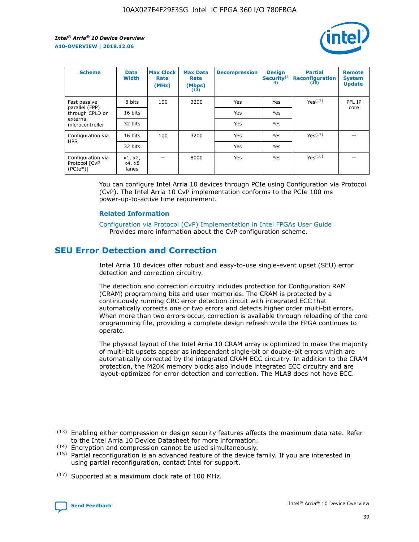

| <b>Scheme</b>                                   | <b>Data</b><br><b>Width</b> | <b>Max Clock</b><br>Rate<br>(MHz) | <b>Max Data</b><br>Rate<br>(Mbps)<br>(13) | <b>Decompression</b> | <b>Design</b><br>Security <sup>(1</sup><br>4) | <b>Partial</b><br><b>Reconfiguration</b><br>(15) | <b>Remote</b><br><b>System</b><br><b>Update</b> |
|-------------------------------------------------|-----------------------------|-----------------------------------|-------------------------------------------|----------------------|-----------------------------------------------|--------------------------------------------------|-------------------------------------------------|
| Fast passive                                    | 8 bits                      | 100                               | 3200                                      | Yes                  | Yes                                           | Yes(17)                                          | PFL IP                                          |
| parallel (FPP)<br>through CPLD or               | 16 bits                     |                                   |                                           | Yes                  | Yes                                           |                                                  | core                                            |
| external<br>microcontroller                     | 32 bits                     |                                   |                                           | Yes                  | Yes                                           |                                                  |                                                 |
| Configuration via                               | 16 bits                     | 100                               | 3200                                      | Yes                  | Yes                                           | Yes <sup>(17)</sup>                              |                                                 |
| <b>HPS</b>                                      | 32 bits                     |                                   |                                           | Yes                  | Yes                                           |                                                  |                                                 |
| Configuration via<br>Protocol [CvP<br>$(PCIe*)$ | x1, x2,<br>x4, x8<br>lanes  |                                   | 8000                                      | Yes                  | Yes                                           | Yes <sup>(16)</sup>                              |                                                 |

You can configure Intel Arria 10 devices through PCIe using Configuration via Protocol (CvP). The Intel Arria 10 CvP implementation conforms to the PCIe 100 ms power-up-to-active time requirement.

#### **Related Information**

[Configuration via Protocol \(CvP\) Implementation in Intel FPGAs User Guide](https://www.intel.com/content/www/us/en/programmable/documentation/dsu1441819344145.html#dsu1442269728522) Provides more information about the CvP configuration scheme.

## **SEU Error Detection and Correction**

Intel Arria 10 devices offer robust and easy-to-use single-event upset (SEU) error detection and correction circuitry.

The detection and correction circuitry includes protection for Configuration RAM (CRAM) programming bits and user memories. The CRAM is protected by a continuously running CRC error detection circuit with integrated ECC that automatically corrects one or two errors and detects higher order multi-bit errors. When more than two errors occur, correction is available through reloading of the core programming file, providing a complete design refresh while the FPGA continues to operate.

The physical layout of the Intel Arria 10 CRAM array is optimized to make the majority of multi-bit upsets appear as independent single-bit or double-bit errors which are automatically corrected by the integrated CRAM ECC circuitry. In addition to the CRAM protection, the M20K memory blocks also include integrated ECC circuitry and are layout-optimized for error detection and correction. The MLAB does not have ECC.

(14) Encryption and compression cannot be used simultaneously.

<sup>(17)</sup> Supported at a maximum clock rate of 100 MHz.



 $(13)$  Enabling either compression or design security features affects the maximum data rate. Refer to the Intel Arria 10 Device Datasheet for more information.

 $(15)$  Partial reconfiguration is an advanced feature of the device family. If you are interested in using partial reconfiguration, contact Intel for support.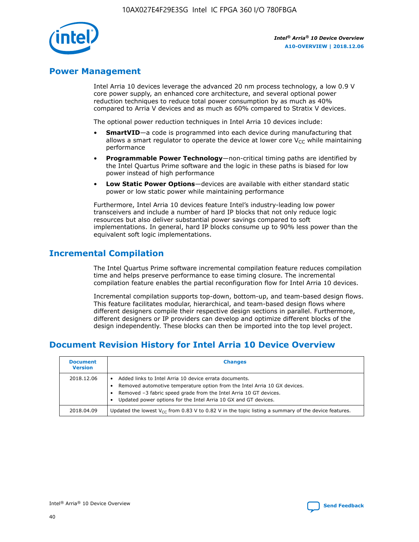

## **Power Management**

Intel Arria 10 devices leverage the advanced 20 nm process technology, a low 0.9 V core power supply, an enhanced core architecture, and several optional power reduction techniques to reduce total power consumption by as much as 40% compared to Arria V devices and as much as 60% compared to Stratix V devices.

The optional power reduction techniques in Intel Arria 10 devices include:

- **SmartVID**—a code is programmed into each device during manufacturing that allows a smart regulator to operate the device at lower core  $V_{CC}$  while maintaining performance
- **Programmable Power Technology**—non-critical timing paths are identified by the Intel Quartus Prime software and the logic in these paths is biased for low power instead of high performance
- **Low Static Power Options**—devices are available with either standard static power or low static power while maintaining performance

Furthermore, Intel Arria 10 devices feature Intel's industry-leading low power transceivers and include a number of hard IP blocks that not only reduce logic resources but also deliver substantial power savings compared to soft implementations. In general, hard IP blocks consume up to 90% less power than the equivalent soft logic implementations.

## **Incremental Compilation**

The Intel Quartus Prime software incremental compilation feature reduces compilation time and helps preserve performance to ease timing closure. The incremental compilation feature enables the partial reconfiguration flow for Intel Arria 10 devices.

Incremental compilation supports top-down, bottom-up, and team-based design flows. This feature facilitates modular, hierarchical, and team-based design flows where different designers compile their respective design sections in parallel. Furthermore, different designers or IP providers can develop and optimize different blocks of the design independently. These blocks can then be imported into the top level project.

## **Document Revision History for Intel Arria 10 Device Overview**

| <b>Document</b><br><b>Version</b> | <b>Changes</b>                                                                                                                                                                                                                                                              |
|-----------------------------------|-----------------------------------------------------------------------------------------------------------------------------------------------------------------------------------------------------------------------------------------------------------------------------|
| 2018.12.06                        | Added links to Intel Arria 10 device errata documents.<br>Removed automotive temperature option from the Intel Arria 10 GX devices.<br>Removed -3 fabric speed grade from the Intel Arria 10 GT devices.<br>Updated power options for the Intel Arria 10 GX and GT devices. |
| 2018.04.09                        | Updated the lowest $V_{CC}$ from 0.83 V to 0.82 V in the topic listing a summary of the device features.                                                                                                                                                                    |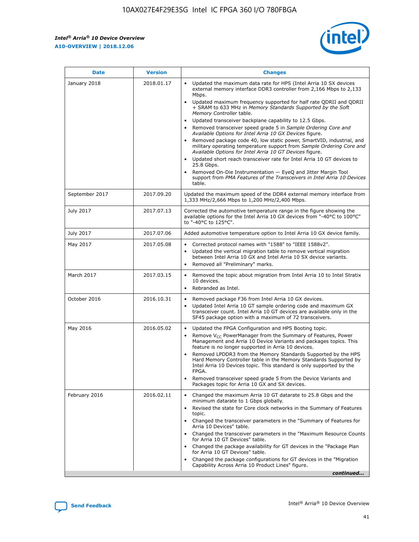$\overline{\phantom{a}}$ 

 $\mathsf{r}$ 



| January 2018<br>Updated the maximum data rate for HPS (Intel Arria 10 SX devices<br>2018.01.17<br>external memory interface DDR3 controller from 2,166 Mbps to 2,133<br>Mbps.<br>$\bullet$<br>+ SRAM to 633 MHz in Memory Standards Supported by the Soft<br>Memory Controller table.<br>Updated transceiver backplane capability to 12.5 Gbps.<br>$\bullet$<br>Removed transceiver speed grade 5 in Sample Ordering Core and<br>Available Options for Intel Arria 10 GX Devices figure.<br>Available Options for Intel Arria 10 GT Devices figure.<br>Updated short reach transceiver rate for Intel Arria 10 GT devices to<br>$\bullet$<br>25.8 Gbps.<br>Removed On-Die Instrumentation - EyeQ and Jitter Margin Tool<br>table.<br>2017.09.20<br>September 2017<br>1,333 MHz/2,666 Mbps to 1,200 MHz/2,400 Mbps.<br>July 2017<br>2017.07.13<br>Corrected the automotive temperature range in the figure showing the<br>available options for the Intel Arria 10 GX devices from "-40°C to 100°C"<br>to "-40°C to 125°C".<br>July 2017<br>2017.07.06<br>Added automotive temperature option to Intel Arria 10 GX device family.<br>2017.05.08<br>Corrected protocol names with "1588" to "IEEE 1588v2".<br>May 2017<br>$\bullet$<br>Updated the vertical migration table to remove vertical migration<br>$\bullet$<br>between Intel Arria 10 GX and Intel Arria 10 SX device variants.<br>Removed all "Preliminary" marks.<br>2017.03.15<br>March 2017<br>Removed the topic about migration from Intel Arria 10 to Intel Stratix<br>10 devices.<br>Rebranded as Intel.<br>$\bullet$<br>October 2016<br>2016.10.31<br>Removed package F36 from Intel Arria 10 GX devices.<br>$\bullet$<br>Updated Intel Arria 10 GT sample ordering code and maximum GX<br>$\bullet$<br>transceiver count. Intel Arria 10 GT devices are available only in the<br>SF45 package option with a maximum of 72 transceivers.<br>May 2016<br>2016.05.02<br>Updated the FPGA Configuration and HPS Booting topic.<br>Remove $V_{CC}$ PowerManager from the Summary of Features, Power<br>Management and Arria 10 Device Variants and packages topics. This<br>feature is no longer supported in Arria 10 devices.<br>Removed LPDDR3 from the Memory Standards Supported by the HPS<br>Hard Memory Controller table in the Memory Standards Supported by<br>Intel Arria 10 Devices topic. This standard is only supported by the<br>FPGA.<br>Removed transceiver speed grade 5 from the Device Variants and<br>Packages topic for Arria 10 GX and SX devices.<br>Changed the maximum Arria 10 GT datarate to 25.8 Gbps and the<br>February 2016<br>2016.02.11<br>minimum datarate to 1 Gbps globally.<br>Revised the state for Core clock networks in the Summary of Features<br>$\bullet$<br>topic.<br>• Changed the transceiver parameters in the "Summary of Features for<br>Arria 10 Devices" table.<br>for Arria 10 GT Devices" table.<br>• Changed the package availability for GT devices in the "Package Plan<br>for Arria 10 GT Devices" table.<br>Changed the package configurations for GT devices in the "Migration"<br>Capability Across Arria 10 Product Lines" figure. | <b>Date</b> | <b>Version</b> | <b>Changes</b>                                                                                                                                                                                                                                                                               |
|----------------------------------------------------------------------------------------------------------------------------------------------------------------------------------------------------------------------------------------------------------------------------------------------------------------------------------------------------------------------------------------------------------------------------------------------------------------------------------------------------------------------------------------------------------------------------------------------------------------------------------------------------------------------------------------------------------------------------------------------------------------------------------------------------------------------------------------------------------------------------------------------------------------------------------------------------------------------------------------------------------------------------------------------------------------------------------------------------------------------------------------------------------------------------------------------------------------------------------------------------------------------------------------------------------------------------------------------------------------------------------------------------------------------------------------------------------------------------------------------------------------------------------------------------------------------------------------------------------------------------------------------------------------------------------------------------------------------------------------------------------------------------------------------------------------------------------------------------------------------------------------------------------------------------------------------------------------------------------------------------------------------------------------------------------------------------------------------------------------------------------------------------------------------------------------------------------------------------------------------------------------------------------------------------------------------------------------------------------------------------------------------------------------------------------------------------------------------------------------------------------------------------------------------------------------------------------------------------------------------------------------------------------------------------------------------------------------------------------------------------------------------------------------------------------------------------------------------------------------------------------------------------------------------------------------------------------------------------------------------------------------------------------------------------------------------------------------------------------------------------------------------------------------|-------------|----------------|----------------------------------------------------------------------------------------------------------------------------------------------------------------------------------------------------------------------------------------------------------------------------------------------|
|                                                                                                                                                                                                                                                                                                                                                                                                                                                                                                                                                                                                                                                                                                                                                                                                                                                                                                                                                                                                                                                                                                                                                                                                                                                                                                                                                                                                                                                                                                                                                                                                                                                                                                                                                                                                                                                                                                                                                                                                                                                                                                                                                                                                                                                                                                                                                                                                                                                                                                                                                                                                                                                                                                                                                                                                                                                                                                                                                                                                                                                                                                                                                                |             |                | Updated maximum frequency supported for half rate QDRII and QDRII<br>Removed package code 40, low static power, SmartVID, industrial, and<br>military operating temperature support from Sample Ordering Core and<br>support from PMA Features of the Transceivers in Intel Arria 10 Devices |
|                                                                                                                                                                                                                                                                                                                                                                                                                                                                                                                                                                                                                                                                                                                                                                                                                                                                                                                                                                                                                                                                                                                                                                                                                                                                                                                                                                                                                                                                                                                                                                                                                                                                                                                                                                                                                                                                                                                                                                                                                                                                                                                                                                                                                                                                                                                                                                                                                                                                                                                                                                                                                                                                                                                                                                                                                                                                                                                                                                                                                                                                                                                                                                |             |                | Updated the maximum speed of the DDR4 external memory interface from                                                                                                                                                                                                                         |
|                                                                                                                                                                                                                                                                                                                                                                                                                                                                                                                                                                                                                                                                                                                                                                                                                                                                                                                                                                                                                                                                                                                                                                                                                                                                                                                                                                                                                                                                                                                                                                                                                                                                                                                                                                                                                                                                                                                                                                                                                                                                                                                                                                                                                                                                                                                                                                                                                                                                                                                                                                                                                                                                                                                                                                                                                                                                                                                                                                                                                                                                                                                                                                |             |                |                                                                                                                                                                                                                                                                                              |
|                                                                                                                                                                                                                                                                                                                                                                                                                                                                                                                                                                                                                                                                                                                                                                                                                                                                                                                                                                                                                                                                                                                                                                                                                                                                                                                                                                                                                                                                                                                                                                                                                                                                                                                                                                                                                                                                                                                                                                                                                                                                                                                                                                                                                                                                                                                                                                                                                                                                                                                                                                                                                                                                                                                                                                                                                                                                                                                                                                                                                                                                                                                                                                |             |                |                                                                                                                                                                                                                                                                                              |
|                                                                                                                                                                                                                                                                                                                                                                                                                                                                                                                                                                                                                                                                                                                                                                                                                                                                                                                                                                                                                                                                                                                                                                                                                                                                                                                                                                                                                                                                                                                                                                                                                                                                                                                                                                                                                                                                                                                                                                                                                                                                                                                                                                                                                                                                                                                                                                                                                                                                                                                                                                                                                                                                                                                                                                                                                                                                                                                                                                                                                                                                                                                                                                |             |                |                                                                                                                                                                                                                                                                                              |
|                                                                                                                                                                                                                                                                                                                                                                                                                                                                                                                                                                                                                                                                                                                                                                                                                                                                                                                                                                                                                                                                                                                                                                                                                                                                                                                                                                                                                                                                                                                                                                                                                                                                                                                                                                                                                                                                                                                                                                                                                                                                                                                                                                                                                                                                                                                                                                                                                                                                                                                                                                                                                                                                                                                                                                                                                                                                                                                                                                                                                                                                                                                                                                |             |                |                                                                                                                                                                                                                                                                                              |
|                                                                                                                                                                                                                                                                                                                                                                                                                                                                                                                                                                                                                                                                                                                                                                                                                                                                                                                                                                                                                                                                                                                                                                                                                                                                                                                                                                                                                                                                                                                                                                                                                                                                                                                                                                                                                                                                                                                                                                                                                                                                                                                                                                                                                                                                                                                                                                                                                                                                                                                                                                                                                                                                                                                                                                                                                                                                                                                                                                                                                                                                                                                                                                |             |                |                                                                                                                                                                                                                                                                                              |
|                                                                                                                                                                                                                                                                                                                                                                                                                                                                                                                                                                                                                                                                                                                                                                                                                                                                                                                                                                                                                                                                                                                                                                                                                                                                                                                                                                                                                                                                                                                                                                                                                                                                                                                                                                                                                                                                                                                                                                                                                                                                                                                                                                                                                                                                                                                                                                                                                                                                                                                                                                                                                                                                                                                                                                                                                                                                                                                                                                                                                                                                                                                                                                |             |                |                                                                                                                                                                                                                                                                                              |
|                                                                                                                                                                                                                                                                                                                                                                                                                                                                                                                                                                                                                                                                                                                                                                                                                                                                                                                                                                                                                                                                                                                                                                                                                                                                                                                                                                                                                                                                                                                                                                                                                                                                                                                                                                                                                                                                                                                                                                                                                                                                                                                                                                                                                                                                                                                                                                                                                                                                                                                                                                                                                                                                                                                                                                                                                                                                                                                                                                                                                                                                                                                                                                |             |                | Changed the transceiver parameters in the "Maximum Resource Counts"<br>continued                                                                                                                                                                                                             |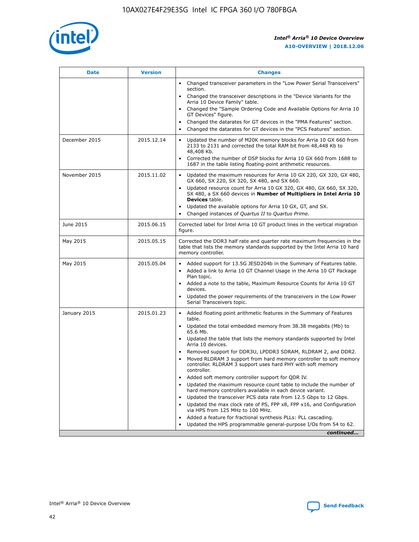

| <b>Date</b>   | <b>Version</b> | <b>Changes</b>                                                                                                                                                                   |
|---------------|----------------|----------------------------------------------------------------------------------------------------------------------------------------------------------------------------------|
|               |                | • Changed transceiver parameters in the "Low Power Serial Transceivers"<br>section.                                                                                              |
|               |                | • Changed the transceiver descriptions in the "Device Variants for the<br>Arria 10 Device Family" table.                                                                         |
|               |                | Changed the "Sample Ordering Code and Available Options for Arria 10<br>GT Devices" figure.                                                                                      |
|               |                | Changed the datarates for GT devices in the "PMA Features" section.                                                                                                              |
|               |                | Changed the datarates for GT devices in the "PCS Features" section.<br>$\bullet$                                                                                                 |
| December 2015 | 2015.12.14     | Updated the number of M20K memory blocks for Arria 10 GX 660 from<br>$\bullet$<br>2133 to 2131 and corrected the total RAM bit from 48,448 Kb to<br>48,408 Kb.                   |
|               |                | Corrected the number of DSP blocks for Arria 10 GX 660 from 1688 to<br>$\bullet$<br>1687 in the table listing floating-point arithmetic resources.                               |
| November 2015 | 2015.11.02     | Updated the maximum resources for Arria 10 GX 220, GX 320, GX 480,<br>$\bullet$<br>GX 660, SX 220, SX 320, SX 480, and SX 660.                                                   |
|               |                | Updated resource count for Arria 10 GX 320, GX 480, GX 660, SX 320,<br>$\bullet$<br>SX 480, a SX 660 devices in Number of Multipliers in Intel Arria 10<br><b>Devices</b> table. |
|               |                | Updated the available options for Arria 10 GX, GT, and SX.<br>$\bullet$                                                                                                          |
|               |                | Changed instances of Quartus II to Quartus Prime.<br>$\bullet$                                                                                                                   |
| June 2015     | 2015.06.15     | Corrected label for Intel Arria 10 GT product lines in the vertical migration<br>figure.                                                                                         |
| May 2015      | 2015.05.15     | Corrected the DDR3 half rate and quarter rate maximum frequencies in the<br>table that lists the memory standards supported by the Intel Arria 10 hard<br>memory controller.     |
| May 2015      | 2015.05.04     | • Added support for 13.5G JESD204b in the Summary of Features table.<br>• Added a link to Arria 10 GT Channel Usage in the Arria 10 GT Package<br>Plan topic.                    |
|               |                | • Added a note to the table, Maximum Resource Counts for Arria 10 GT<br>devices.                                                                                                 |
|               |                | Updated the power requirements of the transceivers in the Low Power<br>Serial Transceivers topic.                                                                                |
| January 2015  | 2015.01.23     | • Added floating point arithmetic features in the Summary of Features<br>table.                                                                                                  |
|               |                | • Updated the total embedded memory from 38.38 megabits (Mb) to<br>65.6 Mb.                                                                                                      |
|               |                | • Updated the table that lists the memory standards supported by Intel<br>Arria 10 devices.                                                                                      |
|               |                | Removed support for DDR3U, LPDDR3 SDRAM, RLDRAM 2, and DDR2.                                                                                                                     |
|               |                | Moved RLDRAM 3 support from hard memory controller to soft memory<br>controller. RLDRAM 3 support uses hard PHY with soft memory<br>controller.                                  |
|               |                | Added soft memory controller support for QDR IV.                                                                                                                                 |
|               |                | Updated the maximum resource count table to include the number of<br>hard memory controllers available in each device variant.                                                   |
|               |                | Updated the transceiver PCS data rate from 12.5 Gbps to 12 Gbps.<br>$\bullet$                                                                                                    |
|               |                | Updated the max clock rate of PS, FPP x8, FPP x16, and Configuration<br>via HPS from 125 MHz to 100 MHz.                                                                         |
|               |                | Added a feature for fractional synthesis PLLs: PLL cascading.                                                                                                                    |
|               |                | Updated the HPS programmable general-purpose I/Os from 54 to 62.                                                                                                                 |
|               |                | continued                                                                                                                                                                        |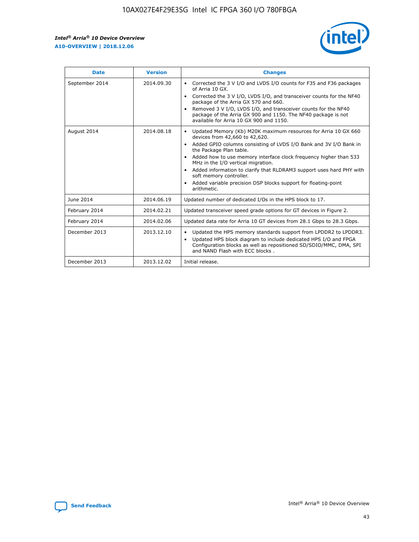r



| <b>Date</b>    | <b>Version</b> | <b>Changes</b>                                                                                                                                                                                                                                                                                                                                                                                                                                                                                                                         |
|----------------|----------------|----------------------------------------------------------------------------------------------------------------------------------------------------------------------------------------------------------------------------------------------------------------------------------------------------------------------------------------------------------------------------------------------------------------------------------------------------------------------------------------------------------------------------------------|
| September 2014 | 2014.09.30     | Corrected the 3 V I/O and LVDS I/O counts for F35 and F36 packages<br>of Arria 10 GX.<br>Corrected the 3 V I/O, LVDS I/O, and transceiver counts for the NF40<br>package of the Arria GX 570 and 660.<br>Removed 3 V I/O, LVDS I/O, and transceiver counts for the NF40<br>package of the Arria GX 900 and 1150. The NF40 package is not<br>available for Arria 10 GX 900 and 1150.                                                                                                                                                    |
| August 2014    | 2014.08.18     | Updated Memory (Kb) M20K maximum resources for Arria 10 GX 660<br>devices from 42,660 to 42,620.<br>Added GPIO columns consisting of LVDS I/O Bank and 3V I/O Bank in<br>$\bullet$<br>the Package Plan table.<br>Added how to use memory interface clock frequency higher than 533<br>$\bullet$<br>MHz in the I/O vertical migration.<br>Added information to clarify that RLDRAM3 support uses hard PHY with<br>$\bullet$<br>soft memory controller.<br>Added variable precision DSP blocks support for floating-point<br>arithmetic. |
| June 2014      | 2014.06.19     | Updated number of dedicated I/Os in the HPS block to 17.                                                                                                                                                                                                                                                                                                                                                                                                                                                                               |
| February 2014  | 2014.02.21     | Updated transceiver speed grade options for GT devices in Figure 2.                                                                                                                                                                                                                                                                                                                                                                                                                                                                    |
| February 2014  | 2014.02.06     | Updated data rate for Arria 10 GT devices from 28.1 Gbps to 28.3 Gbps.                                                                                                                                                                                                                                                                                                                                                                                                                                                                 |
| December 2013  | 2013.12.10     | Updated the HPS memory standards support from LPDDR2 to LPDDR3.<br>Updated HPS block diagram to include dedicated HPS I/O and FPGA<br>$\bullet$<br>Configuration blocks as well as repositioned SD/SDIO/MMC, DMA, SPI<br>and NAND Flash with ECC blocks.                                                                                                                                                                                                                                                                               |
| December 2013  | 2013.12.02     | Initial release.                                                                                                                                                                                                                                                                                                                                                                                                                                                                                                                       |